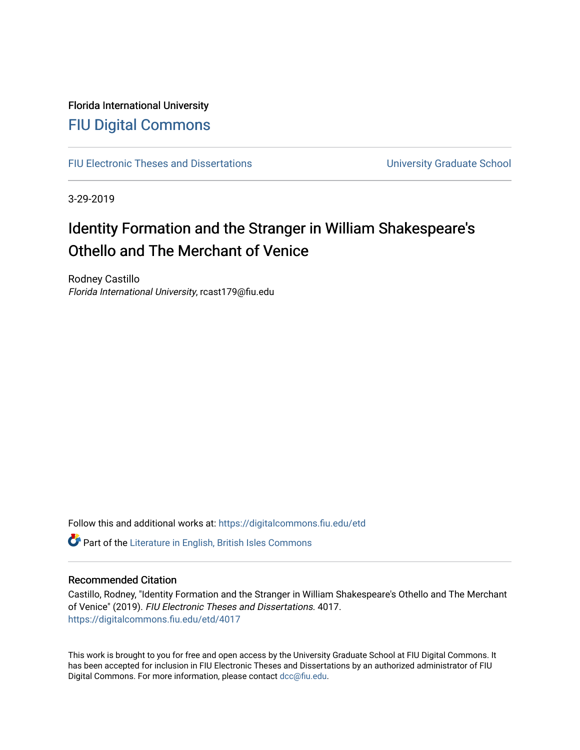## Florida International University [FIU Digital Commons](https://digitalcommons.fiu.edu/)

[FIU Electronic Theses and Dissertations](https://digitalcommons.fiu.edu/etd) **EXECUTE:** University Graduate School

3-29-2019

# Identity Formation and the Stranger in William Shakespeare's Othello and The Merchant of Venice

Rodney Castillo Florida International University, rcast179@fiu.edu

Follow this and additional works at: [https://digitalcommons.fiu.edu/etd](https://digitalcommons.fiu.edu/etd?utm_source=digitalcommons.fiu.edu%2Fetd%2F4017&utm_medium=PDF&utm_campaign=PDFCoverPages)

**C** Part of the [Literature in English, British Isles Commons](http://network.bepress.com/hgg/discipline/456?utm_source=digitalcommons.fiu.edu%2Fetd%2F4017&utm_medium=PDF&utm_campaign=PDFCoverPages)

#### Recommended Citation

Castillo, Rodney, "Identity Formation and the Stranger in William Shakespeare's Othello and The Merchant of Venice" (2019). FIU Electronic Theses and Dissertations. 4017. [https://digitalcommons.fiu.edu/etd/4017](https://digitalcommons.fiu.edu/etd/4017?utm_source=digitalcommons.fiu.edu%2Fetd%2F4017&utm_medium=PDF&utm_campaign=PDFCoverPages) 

This work is brought to you for free and open access by the University Graduate School at FIU Digital Commons. It has been accepted for inclusion in FIU Electronic Theses and Dissertations by an authorized administrator of FIU Digital Commons. For more information, please contact [dcc@fiu.edu](mailto:dcc@fiu.edu).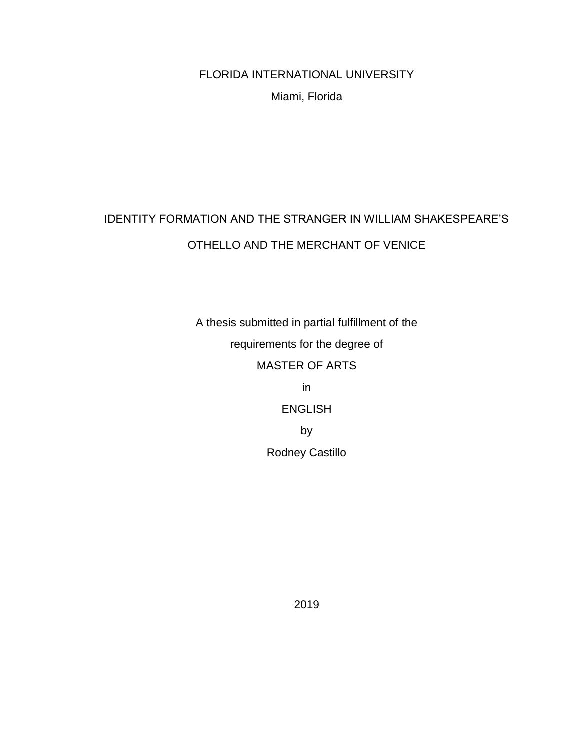FLORIDA INTERNATIONAL UNIVERSITY

Miami, Florida

# IDENTITY FORMATION AND THE STRANGER IN WILLIAM SHAKESPEARE'S OTHELLO AND THE MERCHANT OF VENICE

A thesis submitted in partial fulfillment of the requirements for the degree of MASTER OF ARTS in ENGLISH

by

Rodney Castillo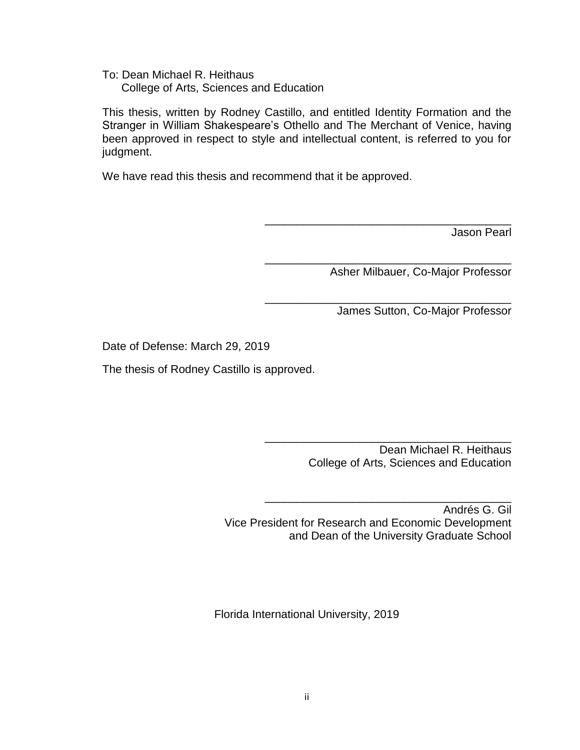To: Dean Michael R. Heithaus College of Arts, Sciences and Education

This thesis, written by Rodney Castillo, and entitled Identity Formation and the Stranger in William Shakespeare's Othello and The Merchant of Venice, having been approved in respect to style and intellectual content, is referred to you for judgment.

We have read this thesis and recommend that it be approved.

Jason Pearl

Asher Milbauer, Co-Major Professor

\_\_\_\_\_\_\_\_\_\_\_\_\_\_\_\_\_\_\_\_\_\_\_\_\_\_\_\_\_\_\_\_\_\_\_\_\_\_\_

\_\_\_\_\_\_\_\_\_\_\_\_\_\_\_\_\_\_\_\_\_\_\_\_\_\_\_\_\_\_\_\_\_\_\_\_\_\_\_

\_\_\_\_\_\_\_\_\_\_\_\_\_\_\_\_\_\_\_\_\_\_\_\_\_\_\_\_\_\_\_\_\_\_\_\_\_\_\_

James Sutton, Co-Major Professor

Date of Defense: March 29, 2019

The thesis of Rodney Castillo is approved.

\_\_\_\_\_\_\_\_\_\_\_\_\_\_\_\_\_\_\_\_\_\_\_\_\_\_\_\_\_\_\_\_\_\_\_\_\_\_\_ Dean Michael R. Heithaus College of Arts, Sciences and Education

Andrés G. Gil Vice President for Research and Economic Development and Dean of the University Graduate School

\_\_\_\_\_\_\_\_\_\_\_\_\_\_\_\_\_\_\_\_\_\_\_\_\_\_\_\_\_\_\_\_\_\_\_\_\_\_\_

Florida International University, 2019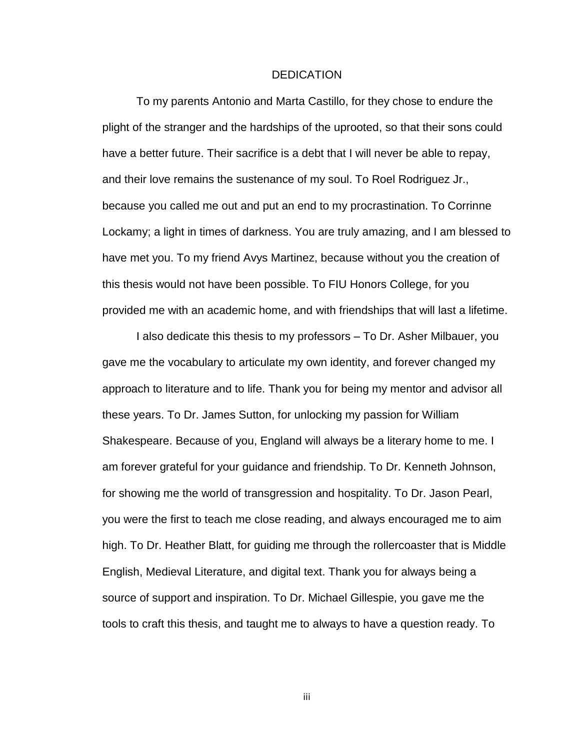#### **DEDICATION**

To my parents Antonio and Marta Castillo, for they chose to endure the plight of the stranger and the hardships of the uprooted, so that their sons could have a better future. Their sacrifice is a debt that I will never be able to repay, and their love remains the sustenance of my soul. To Roel Rodriguez Jr., because you called me out and put an end to my procrastination. To Corrinne Lockamy; a light in times of darkness. You are truly amazing, and I am blessed to have met you. To my friend Avys Martinez, because without you the creation of this thesis would not have been possible. To FIU Honors College, for you provided me with an academic home, and with friendships that will last a lifetime.

I also dedicate this thesis to my professors – To Dr. Asher Milbauer, you gave me the vocabulary to articulate my own identity, and forever changed my approach to literature and to life. Thank you for being my mentor and advisor all these years. To Dr. James Sutton, for unlocking my passion for William Shakespeare. Because of you, England will always be a literary home to me. I am forever grateful for your guidance and friendship. To Dr. Kenneth Johnson, for showing me the world of transgression and hospitality. To Dr. Jason Pearl, you were the first to teach me close reading, and always encouraged me to aim high. To Dr. Heather Blatt, for guiding me through the rollercoaster that is Middle English, Medieval Literature, and digital text. Thank you for always being a source of support and inspiration. To Dr. Michael Gillespie, you gave me the tools to craft this thesis, and taught me to always to have a question ready. To

iii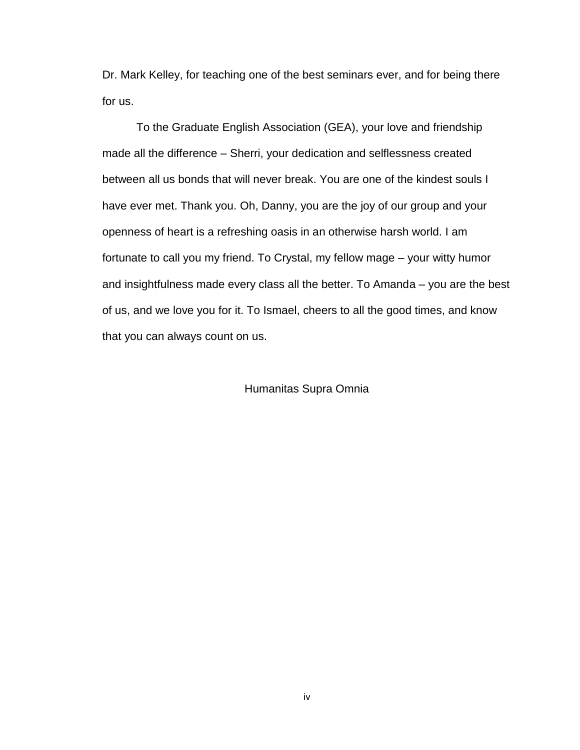Dr. Mark Kelley, for teaching one of the best seminars ever, and for being there for us.

To the Graduate English Association (GEA), your love and friendship made all the difference – Sherri, your dedication and selflessness created between all us bonds that will never break. You are one of the kindest souls I have ever met. Thank you. Oh, Danny, you are the joy of our group and your openness of heart is a refreshing oasis in an otherwise harsh world. I am fortunate to call you my friend. To Crystal, my fellow mage – your witty humor and insightfulness made every class all the better. To Amanda – you are the best of us, and we love you for it. To Ismael, cheers to all the good times, and know that you can always count on us.

Humanitas Supra Omnia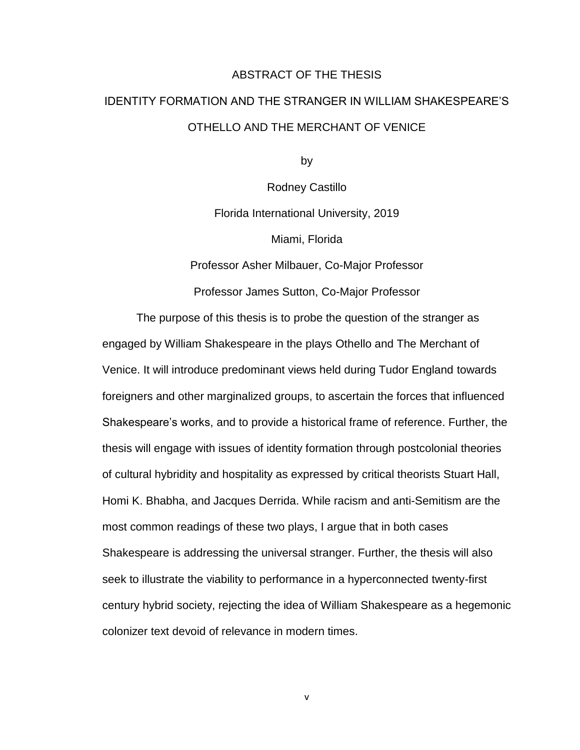### ABSTRACT OF THE THESIS

# IDENTITY FORMATION AND THE STRANGER IN WILLIAM SHAKESPEARE'S OTHELLO AND THE MERCHANT OF VENICE

by

Rodney Castillo Florida International University, 2019 Miami, Florida

Professor Asher Milbauer, Co-Major Professor

Professor James Sutton, Co-Major Professor

The purpose of this thesis is to probe the question of the stranger as engaged by William Shakespeare in the plays Othello and The Merchant of Venice. It will introduce predominant views held during Tudor England towards foreigners and other marginalized groups, to ascertain the forces that influenced Shakespeare's works, and to provide a historical frame of reference. Further, the thesis will engage with issues of identity formation through postcolonial theories of cultural hybridity and hospitality as expressed by critical theorists Stuart Hall, Homi K. Bhabha, and Jacques Derrida. While racism and anti-Semitism are the most common readings of these two plays, I argue that in both cases Shakespeare is addressing the universal stranger. Further, the thesis will also seek to illustrate the viability to performance in a hyperconnected twenty-first century hybrid society, rejecting the idea of William Shakespeare as a hegemonic colonizer text devoid of relevance in modern times.

v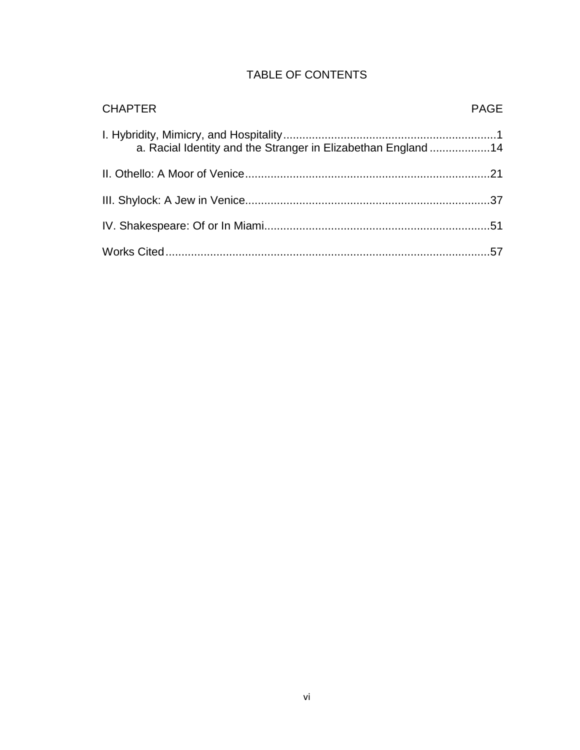| <b>TABLE OF CONTENTS</b> |  |  |
|--------------------------|--|--|
|--------------------------|--|--|

| <b>CHAPTER</b>                                                | <b>PAGE</b> |
|---------------------------------------------------------------|-------------|
| a. Racial Identity and the Stranger in Elizabethan England 14 |             |
|                                                               |             |
|                                                               |             |
|                                                               |             |
|                                                               |             |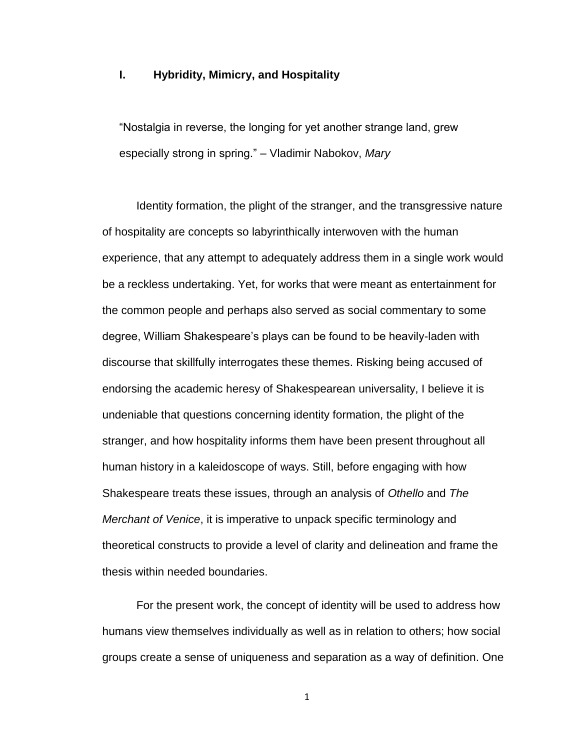### **I. Hybridity, Mimicry, and Hospitality**

"Nostalgia in reverse, the longing for yet another strange land, grew especially strong in spring." – Vladimir Nabokov, *Mary*

Identity formation, the plight of the stranger, and the transgressive nature of hospitality are concepts so labyrinthically interwoven with the human experience, that any attempt to adequately address them in a single work would be a reckless undertaking. Yet, for works that were meant as entertainment for the common people and perhaps also served as social commentary to some degree, William Shakespeare's plays can be found to be heavily-laden with discourse that skillfully interrogates these themes. Risking being accused of endorsing the academic heresy of Shakespearean universality, I believe it is undeniable that questions concerning identity formation, the plight of the stranger, and how hospitality informs them have been present throughout all human history in a kaleidoscope of ways. Still, before engaging with how Shakespeare treats these issues, through an analysis of *Othello* and *The Merchant of Venice*, it is imperative to unpack specific terminology and theoretical constructs to provide a level of clarity and delineation and frame the thesis within needed boundaries.

For the present work, the concept of identity will be used to address how humans view themselves individually as well as in relation to others; how social groups create a sense of uniqueness and separation as a way of definition. One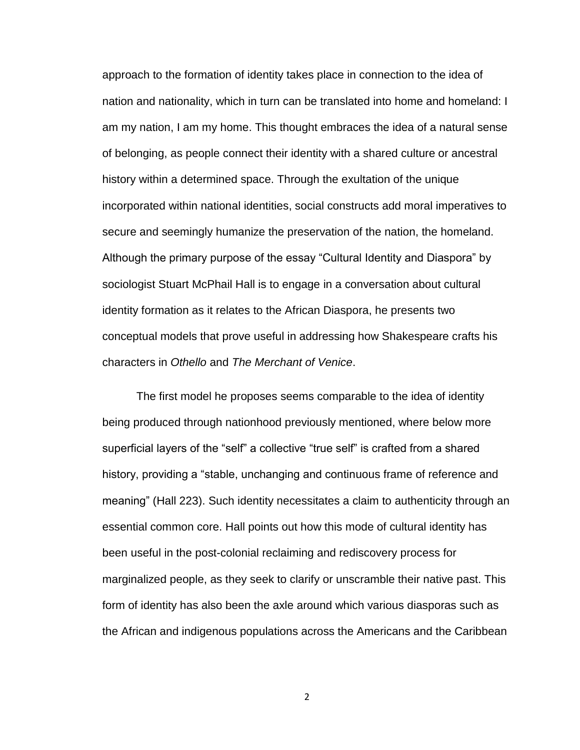approach to the formation of identity takes place in connection to the idea of nation and nationality, which in turn can be translated into home and homeland: I am my nation, I am my home. This thought embraces the idea of a natural sense of belonging, as people connect their identity with a shared culture or ancestral history within a determined space. Through the exultation of the unique incorporated within national identities, social constructs add moral imperatives to secure and seemingly humanize the preservation of the nation, the homeland. Although the primary purpose of the essay "Cultural Identity and Diaspora" by sociologist Stuart McPhail Hall is to engage in a conversation about cultural identity formation as it relates to the African Diaspora, he presents two conceptual models that prove useful in addressing how Shakespeare crafts his characters in *Othello* and *The Merchant of Venice*.

The first model he proposes seems comparable to the idea of identity being produced through nationhood previously mentioned, where below more superficial layers of the "self" a collective "true self" is crafted from a shared history, providing a "stable, unchanging and continuous frame of reference and meaning" (Hall 223). Such identity necessitates a claim to authenticity through an essential common core. Hall points out how this mode of cultural identity has been useful in the post-colonial reclaiming and rediscovery process for marginalized people, as they seek to clarify or unscramble their native past. This form of identity has also been the axle around which various diasporas such as the African and indigenous populations across the Americans and the Caribbean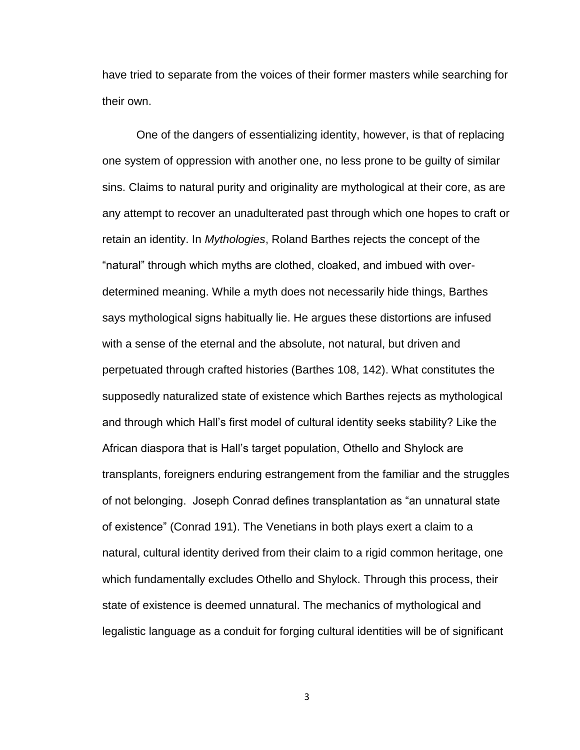have tried to separate from the voices of their former masters while searching for their own.

One of the dangers of essentializing identity, however, is that of replacing one system of oppression with another one, no less prone to be guilty of similar sins. Claims to natural purity and originality are mythological at their core, as are any attempt to recover an unadulterated past through which one hopes to craft or retain an identity. In *Mythologies*, Roland Barthes rejects the concept of the "natural" through which myths are clothed, cloaked, and imbued with overdetermined meaning. While a myth does not necessarily hide things, Barthes says mythological signs habitually lie. He argues these distortions are infused with a sense of the eternal and the absolute, not natural, but driven and perpetuated through crafted histories (Barthes 108, 142). What constitutes the supposedly naturalized state of existence which Barthes rejects as mythological and through which Hall's first model of cultural identity seeks stability? Like the African diaspora that is Hall's target population, Othello and Shylock are transplants, foreigners enduring estrangement from the familiar and the struggles of not belonging. Joseph Conrad defines transplantation as "an unnatural state of existence" (Conrad 191). The Venetians in both plays exert a claim to a natural, cultural identity derived from their claim to a rigid common heritage, one which fundamentally excludes Othello and Shylock. Through this process, their state of existence is deemed unnatural. The mechanics of mythological and legalistic language as a conduit for forging cultural identities will be of significant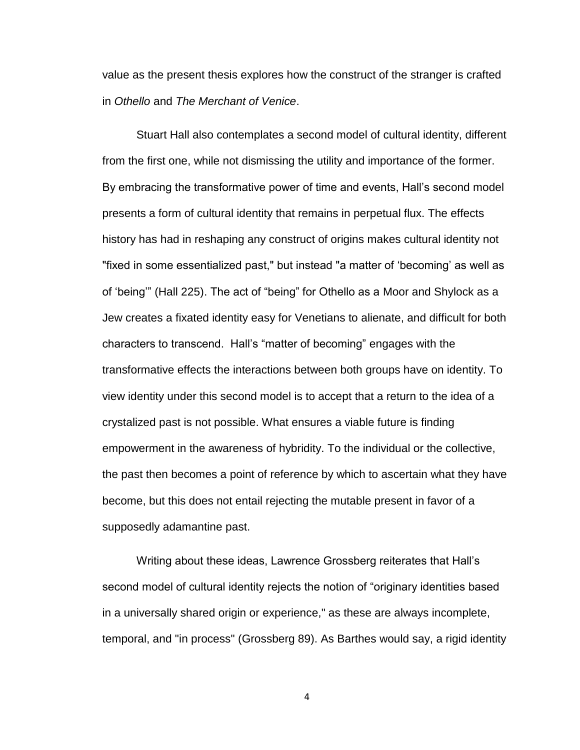value as the present thesis explores how the construct of the stranger is crafted in *Othello* and *The Merchant of Venice*.

Stuart Hall also contemplates a second model of cultural identity, different from the first one, while not dismissing the utility and importance of the former. By embracing the transformative power of time and events, Hall's second model presents a form of cultural identity that remains in perpetual flux. The effects history has had in reshaping any construct of origins makes cultural identity not "fixed in some essentialized past," but instead "a matter of 'becoming' as well as of 'being'" (Hall 225). The act of "being" for Othello as a Moor and Shylock as a Jew creates a fixated identity easy for Venetians to alienate, and difficult for both characters to transcend. Hall's "matter of becoming" engages with the transformative effects the interactions between both groups have on identity. To view identity under this second model is to accept that a return to the idea of a crystalized past is not possible. What ensures a viable future is finding empowerment in the awareness of hybridity. To the individual or the collective, the past then becomes a point of reference by which to ascertain what they have become, but this does not entail rejecting the mutable present in favor of a supposedly adamantine past.

Writing about these ideas, Lawrence Grossberg reiterates that Hall's second model of cultural identity rejects the notion of "originary identities based in a universally shared origin or experience," as these are always incomplete, temporal, and "in process" (Grossberg 89). As Barthes would say, a rigid identity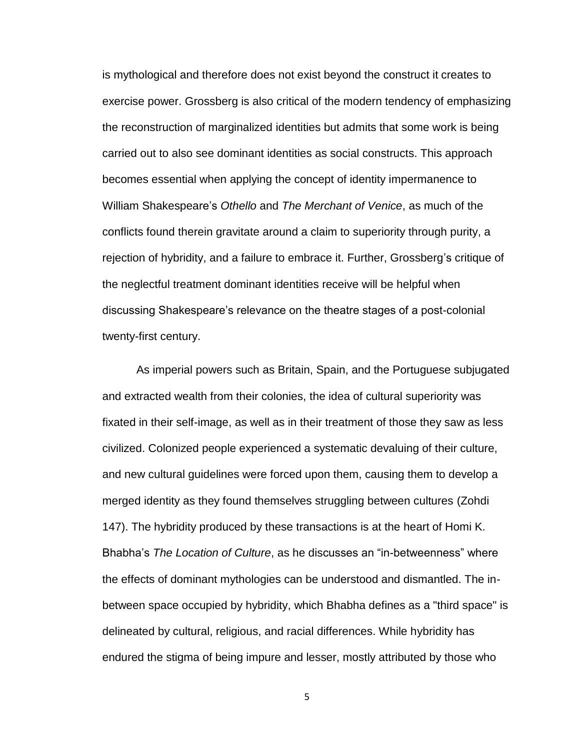is mythological and therefore does not exist beyond the construct it creates to exercise power. Grossberg is also critical of the modern tendency of emphasizing the reconstruction of marginalized identities but admits that some work is being carried out to also see dominant identities as social constructs. This approach becomes essential when applying the concept of identity impermanence to William Shakespeare's *Othello* and *The Merchant of Venice*, as much of the conflicts found therein gravitate around a claim to superiority through purity, a rejection of hybridity, and a failure to embrace it. Further, Grossberg's critique of the neglectful treatment dominant identities receive will be helpful when discussing Shakespeare's relevance on the theatre stages of a post-colonial twenty-first century.

As imperial powers such as Britain, Spain, and the Portuguese subjugated and extracted wealth from their colonies, the idea of cultural superiority was fixated in their self-image, as well as in their treatment of those they saw as less civilized. Colonized people experienced a systematic devaluing of their culture, and new cultural guidelines were forced upon them, causing them to develop a merged identity as they found themselves struggling between cultures (Zohdi 147). The hybridity produced by these transactions is at the heart of Homi K. Bhabha's *The Location of Culture*, as he discusses an "in-betweenness" where the effects of dominant mythologies can be understood and dismantled. The inbetween space occupied by hybridity, which Bhabha defines as a "third space" is delineated by cultural, religious, and racial differences. While hybridity has endured the stigma of being impure and lesser, mostly attributed by those who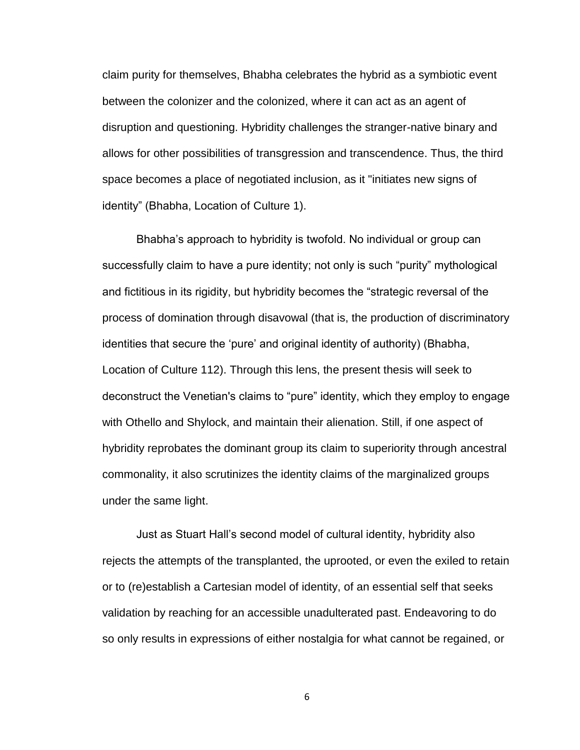claim purity for themselves, Bhabha celebrates the hybrid as a symbiotic event between the colonizer and the colonized, where it can act as an agent of disruption and questioning. Hybridity challenges the stranger-native binary and allows for other possibilities of transgression and transcendence. Thus, the third space becomes a place of negotiated inclusion, as it "initiates new signs of identity" (Bhabha, Location of Culture 1).

Bhabha's approach to hybridity is twofold. No individual or group can successfully claim to have a pure identity; not only is such "purity" mythological and fictitious in its rigidity, but hybridity becomes the "strategic reversal of the process of domination through disavowal (that is, the production of discriminatory identities that secure the 'pure' and original identity of authority) (Bhabha, Location of Culture 112). Through this lens, the present thesis will seek to deconstruct the Venetian's claims to "pure" identity, which they employ to engage with Othello and Shylock, and maintain their alienation. Still, if one aspect of hybridity reprobates the dominant group its claim to superiority through ancestral commonality, it also scrutinizes the identity claims of the marginalized groups under the same light.

Just as Stuart Hall's second model of cultural identity, hybridity also rejects the attempts of the transplanted, the uprooted, or even the exiled to retain or to (re)establish a Cartesian model of identity, of an essential self that seeks validation by reaching for an accessible unadulterated past. Endeavoring to do so only results in expressions of either nostalgia for what cannot be regained, or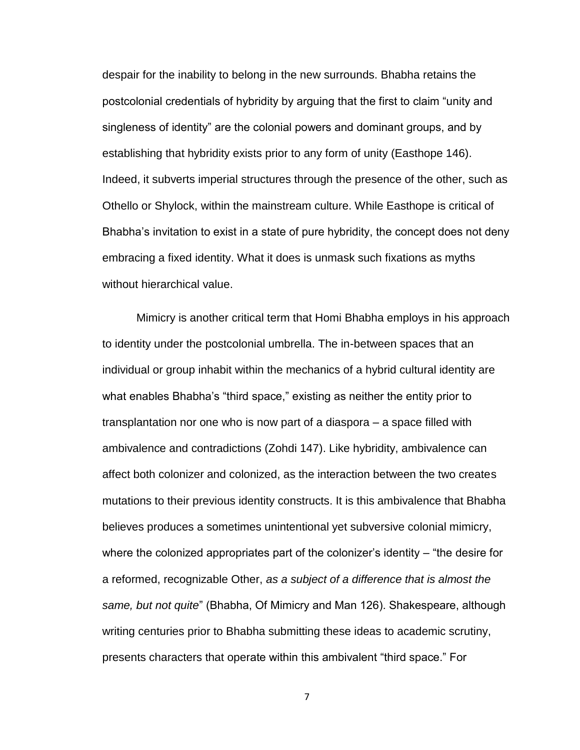despair for the inability to belong in the new surrounds. Bhabha retains the postcolonial credentials of hybridity by arguing that the first to claim "unity and singleness of identity" are the colonial powers and dominant groups, and by establishing that hybridity exists prior to any form of unity (Easthope 146). Indeed, it subverts imperial structures through the presence of the other, such as Othello or Shylock, within the mainstream culture. While Easthope is critical of Bhabha's invitation to exist in a state of pure hybridity, the concept does not deny embracing a fixed identity. What it does is unmask such fixations as myths without hierarchical value.

Mimicry is another critical term that Homi Bhabha employs in his approach to identity under the postcolonial umbrella. The in-between spaces that an individual or group inhabit within the mechanics of a hybrid cultural identity are what enables Bhabha's "third space," existing as neither the entity prior to transplantation nor one who is now part of a diaspora – a space filled with ambivalence and contradictions (Zohdi 147). Like hybridity, ambivalence can affect both colonizer and colonized, as the interaction between the two creates mutations to their previous identity constructs. It is this ambivalence that Bhabha believes produces a sometimes unintentional yet subversive colonial mimicry, where the colonized appropriates part of the colonizer's identity – "the desire for a reformed, recognizable Other, *as a subject of a difference that is almost the same, but not quite*" (Bhabha, Of Mimicry and Man 126). Shakespeare, although writing centuries prior to Bhabha submitting these ideas to academic scrutiny, presents characters that operate within this ambivalent "third space." For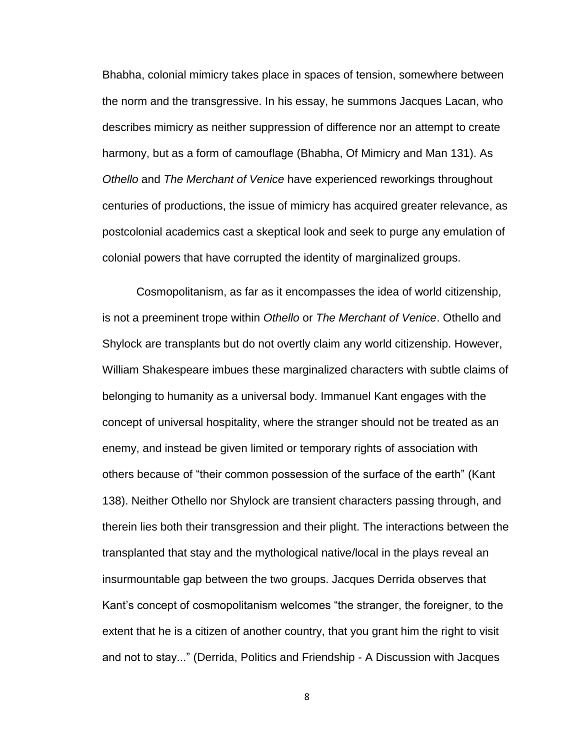Bhabha, colonial mimicry takes place in spaces of tension, somewhere between the norm and the transgressive. In his essay, he summons Jacques Lacan, who describes mimicry as neither suppression of difference nor an attempt to create harmony, but as a form of camouflage (Bhabha, Of Mimicry and Man 131). As *Othello* and *The Merchant of Venice* have experienced reworkings throughout centuries of productions, the issue of mimicry has acquired greater relevance, as postcolonial academics cast a skeptical look and seek to purge any emulation of colonial powers that have corrupted the identity of marginalized groups.

Cosmopolitanism, as far as it encompasses the idea of world citizenship, is not a preeminent trope within *Othello* or *The Merchant of Venice*. Othello and Shylock are transplants but do not overtly claim any world citizenship. However, William Shakespeare imbues these marginalized characters with subtle claims of belonging to humanity as a universal body. Immanuel Kant engages with the concept of universal hospitality, where the stranger should not be treated as an enemy, and instead be given limited or temporary rights of association with others because of "their common possession of the surface of the earth" (Kant 138). Neither Othello nor Shylock are transient characters passing through, and therein lies both their transgression and their plight. The interactions between the transplanted that stay and the mythological native/local in the plays reveal an insurmountable gap between the two groups. Jacques Derrida observes that Kant's concept of cosmopolitanism welcomes "the stranger, the foreigner, to the extent that he is a citizen of another country, that you grant him the right to visit and not to stay..." (Derrida, Politics and Friendship - A Discussion with Jacques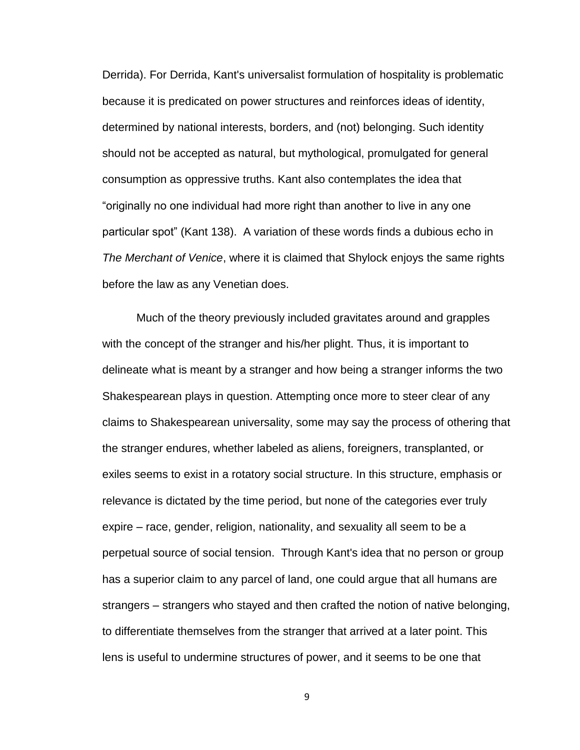Derrida). For Derrida, Kant's universalist formulation of hospitality is problematic because it is predicated on power structures and reinforces ideas of identity, determined by national interests, borders, and (not) belonging. Such identity should not be accepted as natural, but mythological, promulgated for general consumption as oppressive truths. Kant also contemplates the idea that "originally no one individual had more right than another to live in any one particular spot" (Kant 138). A variation of these words finds a dubious echo in *The Merchant of Venice*, where it is claimed that Shylock enjoys the same rights before the law as any Venetian does.

Much of the theory previously included gravitates around and grapples with the concept of the stranger and his/her plight. Thus, it is important to delineate what is meant by a stranger and how being a stranger informs the two Shakespearean plays in question. Attempting once more to steer clear of any claims to Shakespearean universality, some may say the process of othering that the stranger endures, whether labeled as aliens, foreigners, transplanted, or exiles seems to exist in a rotatory social structure. In this structure, emphasis or relevance is dictated by the time period, but none of the categories ever truly expire – race, gender, religion, nationality, and sexuality all seem to be a perpetual source of social tension. Through Kant's idea that no person or group has a superior claim to any parcel of land, one could argue that all humans are strangers – strangers who stayed and then crafted the notion of native belonging, to differentiate themselves from the stranger that arrived at a later point. This lens is useful to undermine structures of power, and it seems to be one that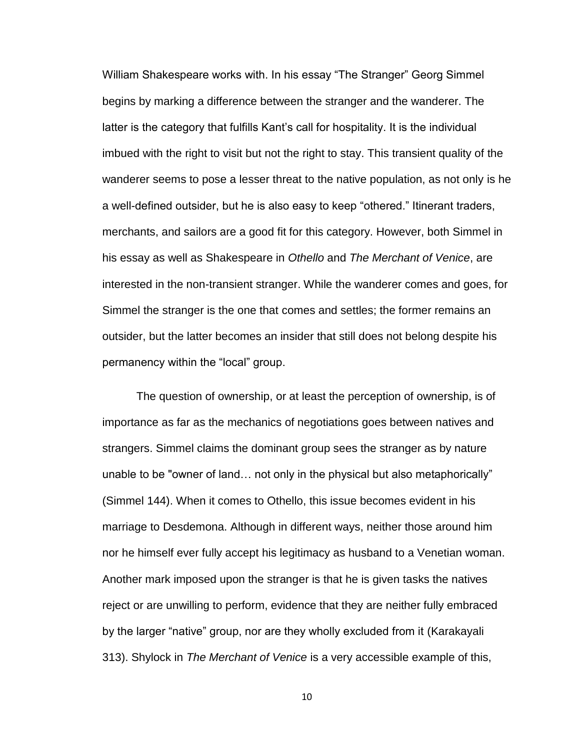William Shakespeare works with. In his essay "The Stranger" Georg Simmel begins by marking a difference between the stranger and the wanderer. The latter is the category that fulfills Kant's call for hospitality. It is the individual imbued with the right to visit but not the right to stay. This transient quality of the wanderer seems to pose a lesser threat to the native population, as not only is he a well-defined outsider, but he is also easy to keep "othered." Itinerant traders, merchants, and sailors are a good fit for this category. However, both Simmel in his essay as well as Shakespeare in *Othello* and *The Merchant of Venice*, are interested in the non-transient stranger. While the wanderer comes and goes, for Simmel the stranger is the one that comes and settles; the former remains an outsider, but the latter becomes an insider that still does not belong despite his permanency within the "local" group.

The question of ownership, or at least the perception of ownership, is of importance as far as the mechanics of negotiations goes between natives and strangers. Simmel claims the dominant group sees the stranger as by nature unable to be "owner of land… not only in the physical but also metaphorically" (Simmel 144). When it comes to Othello, this issue becomes evident in his marriage to Desdemona. Although in different ways, neither those around him nor he himself ever fully accept his legitimacy as husband to a Venetian woman. Another mark imposed upon the stranger is that he is given tasks the natives reject or are unwilling to perform, evidence that they are neither fully embraced by the larger "native" group, nor are they wholly excluded from it (Karakayali 313). Shylock in *The Merchant of Venice* is a very accessible example of this,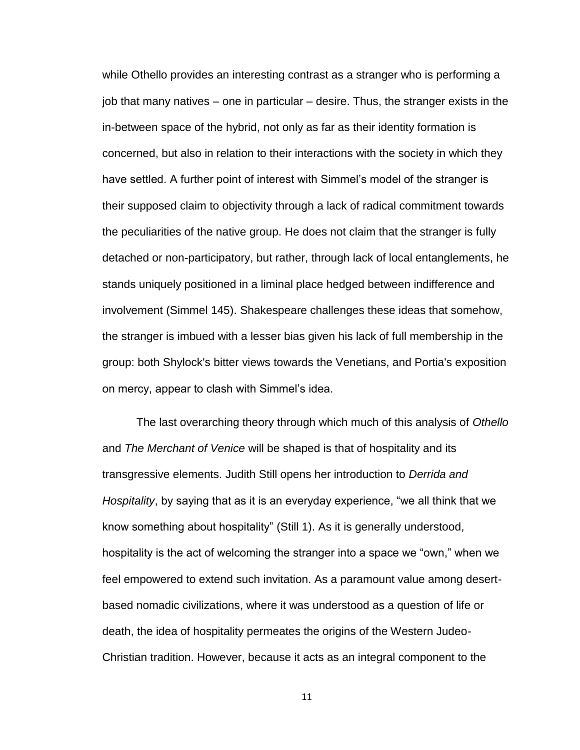while Othello provides an interesting contrast as a stranger who is performing a job that many natives – one in particular – desire. Thus, the stranger exists in the in-between space of the hybrid, not only as far as their identity formation is concerned, but also in relation to their interactions with the society in which they have settled. A further point of interest with Simmel's model of the stranger is their supposed claim to objectivity through a lack of radical commitment towards the peculiarities of the native group. He does not claim that the stranger is fully detached or non-participatory, but rather, through lack of local entanglements, he stands uniquely positioned in a liminal place hedged between indifference and involvement (Simmel 145). Shakespeare challenges these ideas that somehow, the stranger is imbued with a lesser bias given his lack of full membership in the group: both Shylock's bitter views towards the Venetians, and Portia's exposition on mercy, appear to clash with Simmel's idea.

The last overarching theory through which much of this analysis of *Othello* and *The Merchant of Venice* will be shaped is that of hospitality and its transgressive elements. Judith Still opens her introduction to *Derrida and Hospitality*, by saying that as it is an everyday experience, "we all think that we know something about hospitality" (Still 1). As it is generally understood, hospitality is the act of welcoming the stranger into a space we "own," when we feel empowered to extend such invitation. As a paramount value among desertbased nomadic civilizations, where it was understood as a question of life or death, the idea of hospitality permeates the origins of the Western Judeo-Christian tradition. However, because it acts as an integral component to the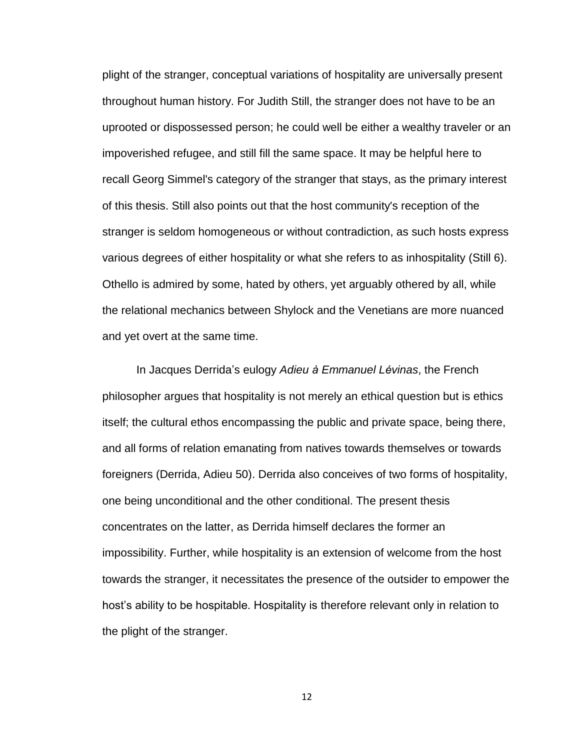plight of the stranger, conceptual variations of hospitality are universally present throughout human history. For Judith Still, the stranger does not have to be an uprooted or dispossessed person; he could well be either a wealthy traveler or an impoverished refugee, and still fill the same space. It may be helpful here to recall Georg Simmel's category of the stranger that stays, as the primary interest of this thesis. Still also points out that the host community's reception of the stranger is seldom homogeneous or without contradiction, as such hosts express various degrees of either hospitality or what she refers to as inhospitality (Still 6). Othello is admired by some, hated by others, yet arguably othered by all, while the relational mechanics between Shylock and the Venetians are more nuanced and yet overt at the same time.

In Jacques Derrida's eulogy *Adieu à Emmanuel Lévinas*, the French philosopher argues that hospitality is not merely an ethical question but is ethics itself; the cultural ethos encompassing the public and private space, being there, and all forms of relation emanating from natives towards themselves or towards foreigners (Derrida, Adieu 50). Derrida also conceives of two forms of hospitality, one being unconditional and the other conditional. The present thesis concentrates on the latter, as Derrida himself declares the former an impossibility. Further, while hospitality is an extension of welcome from the host towards the stranger, it necessitates the presence of the outsider to empower the host's ability to be hospitable. Hospitality is therefore relevant only in relation to the plight of the stranger.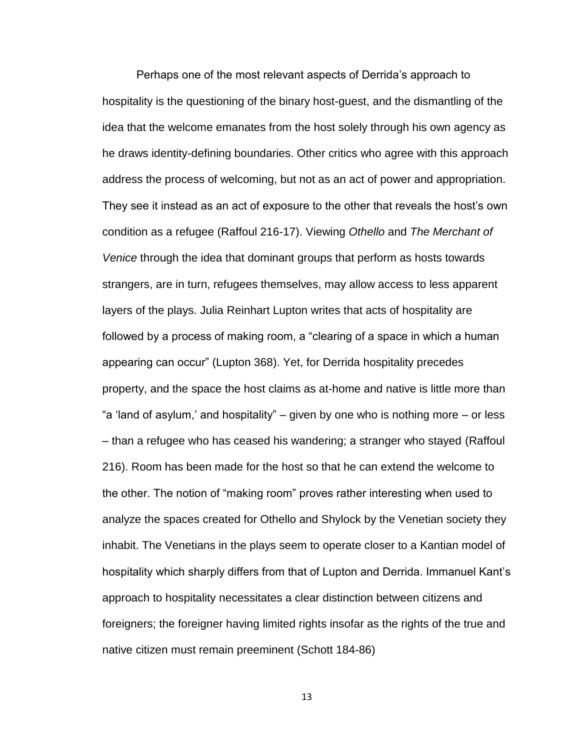Perhaps one of the most relevant aspects of Derrida's approach to hospitality is the questioning of the binary host-guest, and the dismantling of the idea that the welcome emanates from the host solely through his own agency as he draws identity-defining boundaries. Other critics who agree with this approach address the process of welcoming, but not as an act of power and appropriation. They see it instead as an act of exposure to the other that reveals the host's own condition as a refugee (Raffoul 216-17). Viewing *Othello* and *The Merchant of Venice* through the idea that dominant groups that perform as hosts towards strangers, are in turn, refugees themselves, may allow access to less apparent layers of the plays. Julia Reinhart Lupton writes that acts of hospitality are followed by a process of making room, a "clearing of a space in which a human appearing can occur" (Lupton 368). Yet, for Derrida hospitality precedes property, and the space the host claims as at-home and native is little more than "a 'land of asylum,' and hospitality" – given by one who is nothing more – or less – than a refugee who has ceased his wandering; a stranger who stayed (Raffoul 216). Room has been made for the host so that he can extend the welcome to the other. The notion of "making room" proves rather interesting when used to analyze the spaces created for Othello and Shylock by the Venetian society they inhabit. The Venetians in the plays seem to operate closer to a Kantian model of hospitality which sharply differs from that of Lupton and Derrida. Immanuel Kant's approach to hospitality necessitates a clear distinction between citizens and foreigners; the foreigner having limited rights insofar as the rights of the true and native citizen must remain preeminent (Schott 184-86)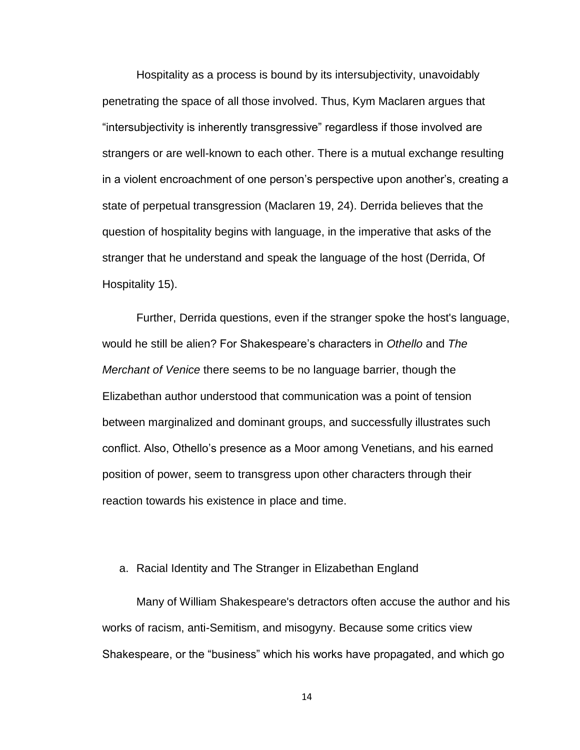Hospitality as a process is bound by its intersubjectivity, unavoidably penetrating the space of all those involved. Thus, Kym Maclaren argues that "intersubjectivity is inherently transgressive" regardless if those involved are strangers or are well-known to each other. There is a mutual exchange resulting in a violent encroachment of one person's perspective upon another's, creating a state of perpetual transgression (Maclaren 19, 24). Derrida believes that the question of hospitality begins with language, in the imperative that asks of the stranger that he understand and speak the language of the host (Derrida, Of Hospitality 15).

Further, Derrida questions, even if the stranger spoke the host's language, would he still be alien? For Shakespeare's characters in *Othello* and *The Merchant of Venice* there seems to be no language barrier, though the Elizabethan author understood that communication was a point of tension between marginalized and dominant groups, and successfully illustrates such conflict. Also, Othello's presence as a Moor among Venetians, and his earned position of power, seem to transgress upon other characters through their reaction towards his existence in place and time.

#### a. Racial Identity and The Stranger in Elizabethan England

Many of William Shakespeare's detractors often accuse the author and his works of racism, anti-Semitism, and misogyny. Because some critics view Shakespeare, or the "business" which his works have propagated, and which go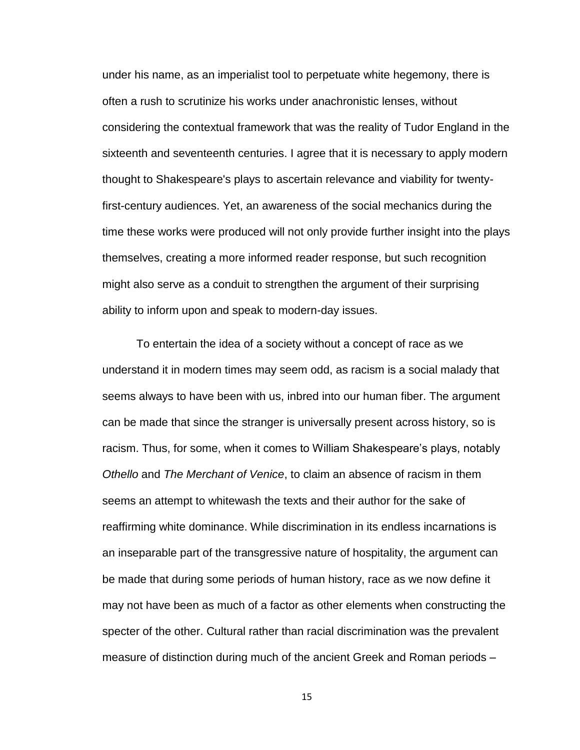under his name, as an imperialist tool to perpetuate white hegemony, there is often a rush to scrutinize his works under anachronistic lenses, without considering the contextual framework that was the reality of Tudor England in the sixteenth and seventeenth centuries. I agree that it is necessary to apply modern thought to Shakespeare's plays to ascertain relevance and viability for twentyfirst-century audiences. Yet, an awareness of the social mechanics during the time these works were produced will not only provide further insight into the plays themselves, creating a more informed reader response, but such recognition might also serve as a conduit to strengthen the argument of their surprising ability to inform upon and speak to modern-day issues.

To entertain the idea of a society without a concept of race as we understand it in modern times may seem odd, as racism is a social malady that seems always to have been with us, inbred into our human fiber. The argument can be made that since the stranger is universally present across history, so is racism. Thus, for some, when it comes to William Shakespeare's plays, notably *Othello* and *The Merchant of Venice*, to claim an absence of racism in them seems an attempt to whitewash the texts and their author for the sake of reaffirming white dominance. While discrimination in its endless incarnations is an inseparable part of the transgressive nature of hospitality, the argument can be made that during some periods of human history, race as we now define it may not have been as much of a factor as other elements when constructing the specter of the other. Cultural rather than racial discrimination was the prevalent measure of distinction during much of the ancient Greek and Roman periods –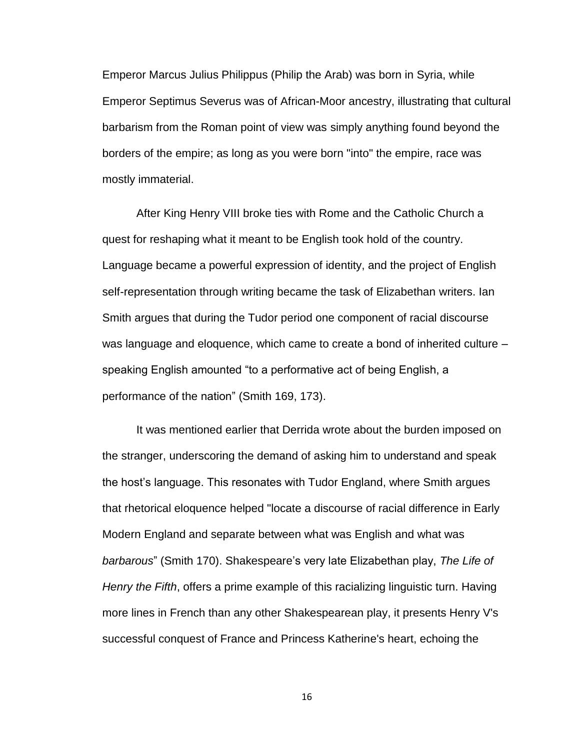Emperor Marcus Julius Philippus (Philip the Arab) was born in Syria, while Emperor Septimus Severus was of African-Moor ancestry, illustrating that cultural barbarism from the Roman point of view was simply anything found beyond the borders of the empire; as long as you were born "into" the empire, race was mostly immaterial.

After King Henry VIII broke ties with Rome and the Catholic Church a quest for reshaping what it meant to be English took hold of the country. Language became a powerful expression of identity, and the project of English self-representation through writing became the task of Elizabethan writers. Ian Smith argues that during the Tudor period one component of racial discourse was language and eloquence, which came to create a bond of inherited culture – speaking English amounted "to a performative act of being English, a performance of the nation" (Smith 169, 173).

It was mentioned earlier that Derrida wrote about the burden imposed on the stranger, underscoring the demand of asking him to understand and speak the host's language. This resonates with Tudor England, where Smith argues that rhetorical eloquence helped "locate a discourse of racial difference in Early Modern England and separate between what was English and what was *barbarous*" (Smith 170). Shakespeare's very late Elizabethan play, *The Life of Henry the Fifth*, offers a prime example of this racializing linguistic turn. Having more lines in French than any other Shakespearean play, it presents Henry V's successful conquest of France and Princess Katherine's heart, echoing the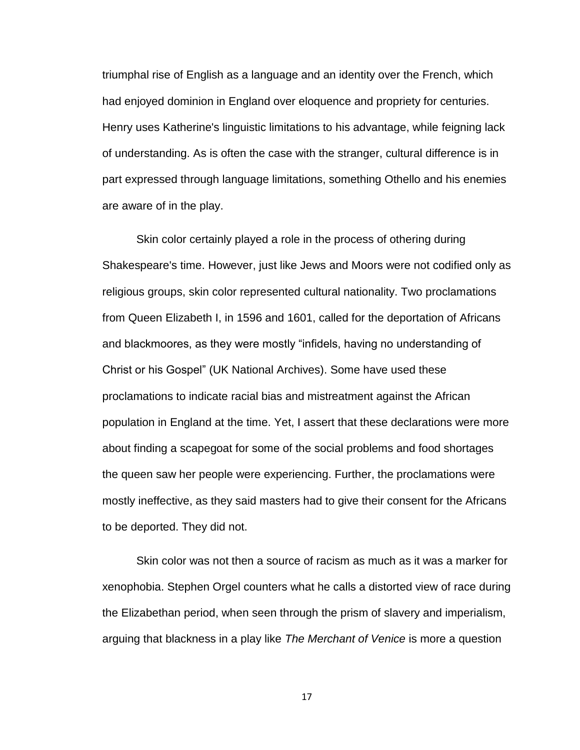triumphal rise of English as a language and an identity over the French, which had enjoyed dominion in England over eloquence and propriety for centuries. Henry uses Katherine's linguistic limitations to his advantage, while feigning lack of understanding. As is often the case with the stranger, cultural difference is in part expressed through language limitations, something Othello and his enemies are aware of in the play.

Skin color certainly played a role in the process of othering during Shakespeare's time. However, just like Jews and Moors were not codified only as religious groups, skin color represented cultural nationality. Two proclamations from Queen Elizabeth I, in 1596 and 1601, called for the deportation of Africans and blackmoores, as they were mostly "infidels, having no understanding of Christ or his Gospel" (UK National Archives). Some have used these proclamations to indicate racial bias and mistreatment against the African population in England at the time. Yet, I assert that these declarations were more about finding a scapegoat for some of the social problems and food shortages the queen saw her people were experiencing. Further, the proclamations were mostly ineffective, as they said masters had to give their consent for the Africans to be deported. They did not.

Skin color was not then a source of racism as much as it was a marker for xenophobia. Stephen Orgel counters what he calls a distorted view of race during the Elizabethan period, when seen through the prism of slavery and imperialism, arguing that blackness in a play like *The Merchant of Venice* is more a question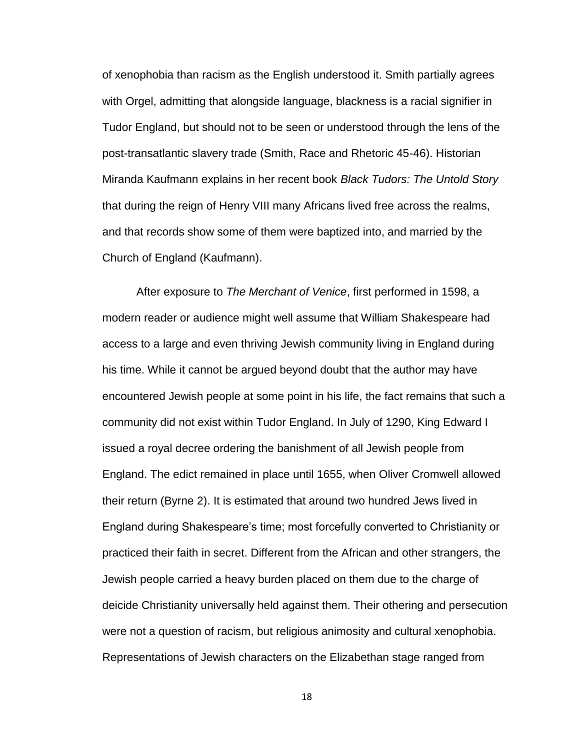of xenophobia than racism as the English understood it. Smith partially agrees with Orgel, admitting that alongside language, blackness is a racial signifier in Tudor England, but should not to be seen or understood through the lens of the post-transatlantic slavery trade (Smith, Race and Rhetoric 45-46). Historian Miranda Kaufmann explains in her recent book *Black Tudors: The Untold Story* that during the reign of Henry VIII many Africans lived free across the realms, and that records show some of them were baptized into, and married by the Church of England (Kaufmann).

After exposure to *The Merchant of Venice*, first performed in 1598, a modern reader or audience might well assume that William Shakespeare had access to a large and even thriving Jewish community living in England during his time. While it cannot be argued beyond doubt that the author may have encountered Jewish people at some point in his life, the fact remains that such a community did not exist within Tudor England. In July of 1290, King Edward I issued a royal decree ordering the banishment of all Jewish people from England. The edict remained in place until 1655, when Oliver Cromwell allowed their return (Byrne 2). It is estimated that around two hundred Jews lived in England during Shakespeare's time; most forcefully converted to Christianity or practiced their faith in secret. Different from the African and other strangers, the Jewish people carried a heavy burden placed on them due to the charge of deicide Christianity universally held against them. Their othering and persecution were not a question of racism, but religious animosity and cultural xenophobia. Representations of Jewish characters on the Elizabethan stage ranged from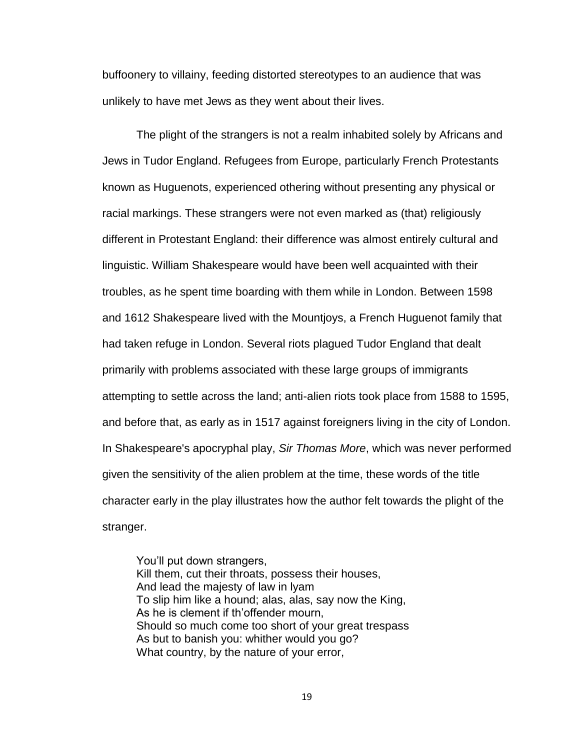buffoonery to villainy, feeding distorted stereotypes to an audience that was unlikely to have met Jews as they went about their lives.

The plight of the strangers is not a realm inhabited solely by Africans and Jews in Tudor England. Refugees from Europe, particularly French Protestants known as Huguenots, experienced othering without presenting any physical or racial markings. These strangers were not even marked as (that) religiously different in Protestant England: their difference was almost entirely cultural and linguistic. William Shakespeare would have been well acquainted with their troubles, as he spent time boarding with them while in London. Between 1598 and 1612 Shakespeare lived with the Mountjoys, a French Huguenot family that had taken refuge in London. Several riots plagued Tudor England that dealt primarily with problems associated with these large groups of immigrants attempting to settle across the land; anti-alien riots took place from 1588 to 1595, and before that, as early as in 1517 against foreigners living in the city of London. In Shakespeare's apocryphal play, *Sir Thomas More*, which was never performed given the sensitivity of the alien problem at the time, these words of the title character early in the play illustrates how the author felt towards the plight of the stranger.

You'll put down strangers, Kill them, cut their throats, possess their houses, And lead the majesty of law in lyam To slip him like a hound; alas, alas, say now the King, As he is clement if th'offender mourn, Should so much come too short of your great trespass As but to banish you: whither would you go? What country, by the nature of your error,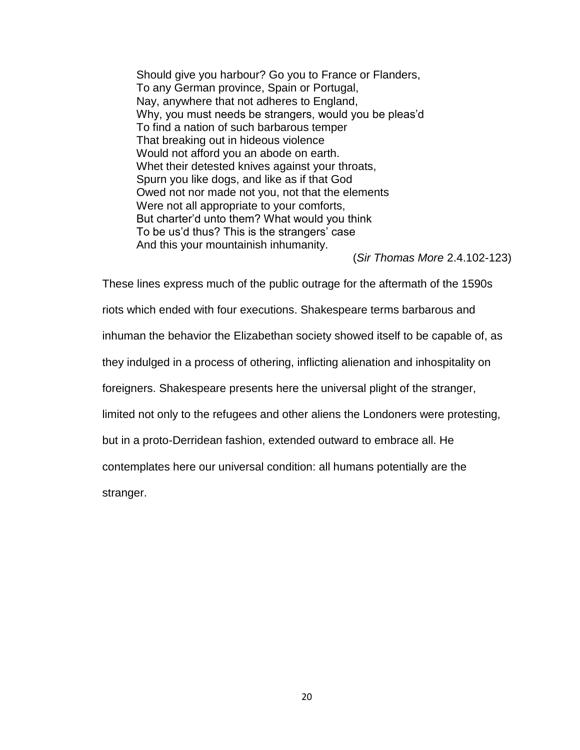Should give you harbour? Go you to France or Flanders, To any German province, Spain or Portugal, Nay, anywhere that not adheres to England, Why, you must needs be strangers, would you be pleas'd To find a nation of such barbarous temper That breaking out in hideous violence Would not afford you an abode on earth. Whet their detested knives against your throats, Spurn you like dogs, and like as if that God Owed not nor made not you, not that the elements Were not all appropriate to your comforts, But charter'd unto them? What would you think To be us'd thus? This is the strangers' case And this your mountainish inhumanity.

(*Sir Thomas More* 2.4.102-123)

These lines express much of the public outrage for the aftermath of the 1590s riots which ended with four executions. Shakespeare terms barbarous and inhuman the behavior the Elizabethan society showed itself to be capable of, as they indulged in a process of othering, inflicting alienation and inhospitality on foreigners. Shakespeare presents here the universal plight of the stranger, limited not only to the refugees and other aliens the Londoners were protesting, but in a proto-Derridean fashion, extended outward to embrace all. He contemplates here our universal condition: all humans potentially are the stranger.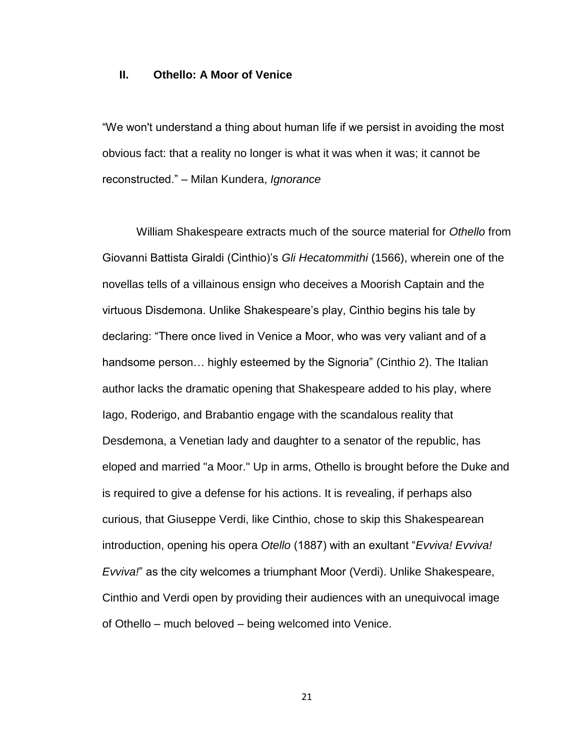#### **II. Othello: A Moor of Venice**

"We won't understand a thing about human life if we persist in avoiding the most obvious fact: that a reality no longer is what it was when it was; it cannot be reconstructed." – Milan Kundera, *Ignorance*

William Shakespeare extracts much of the source material for *Othello* from Giovanni Battista Giraldi (Cinthio)'s *Gli Hecatommithi* (1566), wherein one of the novellas tells of a villainous ensign who deceives a Moorish Captain and the virtuous Disdemona. Unlike Shakespeare's play, Cinthio begins his tale by declaring: "There once lived in Venice a Moor, who was very valiant and of a handsome person… highly esteemed by the Signoria" (Cinthio 2). The Italian author lacks the dramatic opening that Shakespeare added to his play, where Iago, Roderigo, and Brabantio engage with the scandalous reality that Desdemona, a Venetian lady and daughter to a senator of the republic, has eloped and married "a Moor." Up in arms, Othello is brought before the Duke and is required to give a defense for his actions. It is revealing, if perhaps also curious, that Giuseppe Verdi, like Cinthio, chose to skip this Shakespearean introduction, opening his opera *Otello* (1887) with an exultant "*Evviva! Evviva! Evviva!*" as the city welcomes a triumphant Moor (Verdi). Unlike Shakespeare, Cinthio and Verdi open by providing their audiences with an unequivocal image of Othello – much beloved – being welcomed into Venice.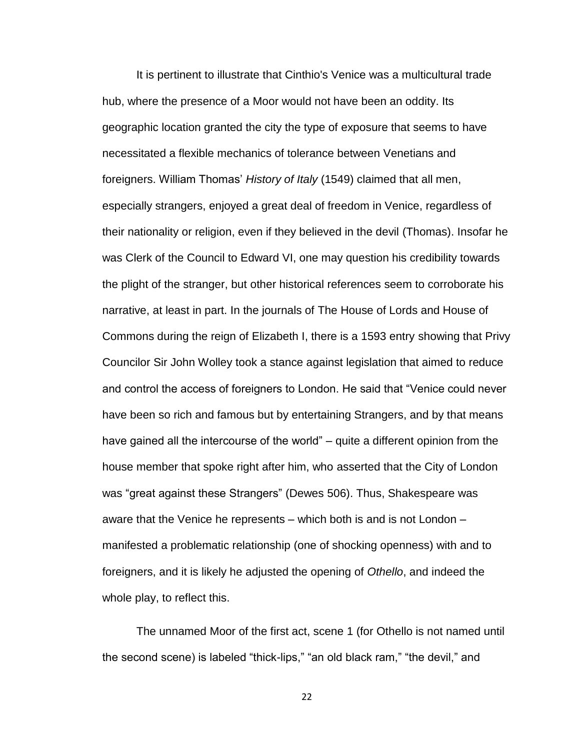It is pertinent to illustrate that Cinthio's Venice was a multicultural trade hub, where the presence of a Moor would not have been an oddity. Its geographic location granted the city the type of exposure that seems to have necessitated a flexible mechanics of tolerance between Venetians and foreigners. William Thomas' *History of Italy* (1549) claimed that all men, especially strangers, enjoyed a great deal of freedom in Venice, regardless of their nationality or religion, even if they believed in the devil (Thomas). Insofar he was Clerk of the Council to Edward VI, one may question his credibility towards the plight of the stranger, but other historical references seem to corroborate his narrative, at least in part. In the journals of The House of Lords and House of Commons during the reign of Elizabeth I, there is a 1593 entry showing that Privy Councilor Sir John Wolley took a stance against legislation that aimed to reduce and control the access of foreigners to London. He said that "Venice could never have been so rich and famous but by entertaining Strangers, and by that means have gained all the intercourse of the world" – quite a different opinion from the house member that spoke right after him, who asserted that the City of London was "great against these Strangers" (Dewes 506). Thus, Shakespeare was aware that the Venice he represents – which both is and is not London – manifested a problematic relationship (one of shocking openness) with and to foreigners, and it is likely he adjusted the opening of *Othello*, and indeed the whole play, to reflect this.

The unnamed Moor of the first act, scene 1 (for Othello is not named until the second scene) is labeled "thick-lips," "an old black ram," "the devil," and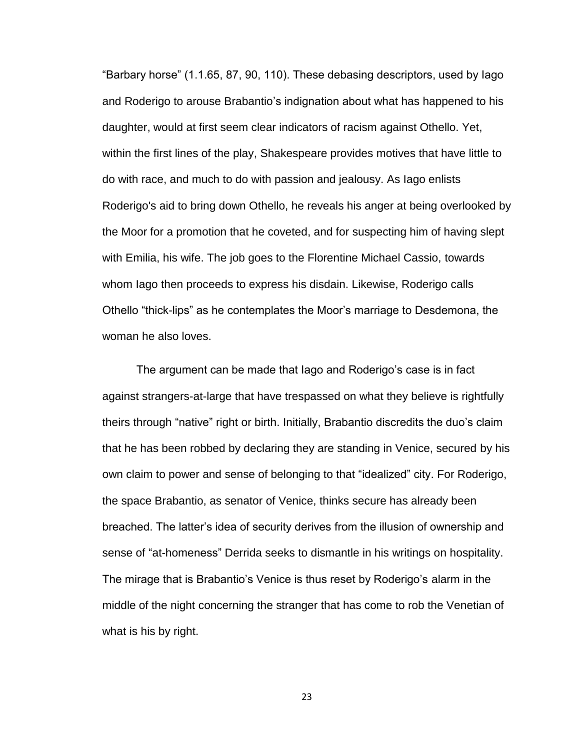"Barbary horse" (1.1.65, 87, 90, 110). These debasing descriptors, used by Iago and Roderigo to arouse Brabantio's indignation about what has happened to his daughter, would at first seem clear indicators of racism against Othello. Yet, within the first lines of the play, Shakespeare provides motives that have little to do with race, and much to do with passion and jealousy. As Iago enlists Roderigo's aid to bring down Othello, he reveals his anger at being overlooked by the Moor for a promotion that he coveted, and for suspecting him of having slept with Emilia, his wife. The job goes to the Florentine Michael Cassio, towards whom Iago then proceeds to express his disdain. Likewise, Roderigo calls Othello "thick-lips" as he contemplates the Moor's marriage to Desdemona, the woman he also loves.

The argument can be made that Iago and Roderigo's case is in fact against strangers-at-large that have trespassed on what they believe is rightfully theirs through "native" right or birth. Initially, Brabantio discredits the duo's claim that he has been robbed by declaring they are standing in Venice, secured by his own claim to power and sense of belonging to that "idealized" city. For Roderigo, the space Brabantio, as senator of Venice, thinks secure has already been breached. The latter's idea of security derives from the illusion of ownership and sense of "at-homeness" Derrida seeks to dismantle in his writings on hospitality. The mirage that is Brabantio's Venice is thus reset by Roderigo's alarm in the middle of the night concerning the stranger that has come to rob the Venetian of what is his by right.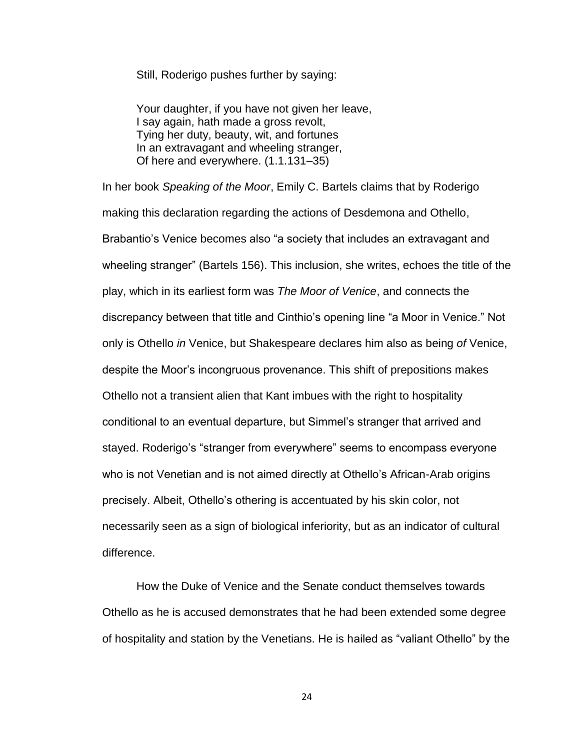Still, Roderigo pushes further by saying:

Your daughter, if you have not given her leave, I say again, hath made a gross revolt, Tying her duty, beauty, wit, and fortunes In an extravagant and wheeling stranger, Of here and everywhere. (1.1.131–35)

In her book *Speaking of the Moor*, Emily C. Bartels claims that by Roderigo making this declaration regarding the actions of Desdemona and Othello, Brabantio's Venice becomes also "a society that includes an extravagant and wheeling stranger" (Bartels 156). This inclusion, she writes, echoes the title of the play, which in its earliest form was *The Moor of Venice*, and connects the discrepancy between that title and Cinthio's opening line "a Moor in Venice." Not only is Othello *in* Venice, but Shakespeare declares him also as being *of* Venice, despite the Moor's incongruous provenance. This shift of prepositions makes Othello not a transient alien that Kant imbues with the right to hospitality conditional to an eventual departure, but Simmel's stranger that arrived and stayed. Roderigo's "stranger from everywhere" seems to encompass everyone who is not Venetian and is not aimed directly at Othello's African-Arab origins precisely. Albeit, Othello's othering is accentuated by his skin color, not necessarily seen as a sign of biological inferiority, but as an indicator of cultural difference.

How the Duke of Venice and the Senate conduct themselves towards Othello as he is accused demonstrates that he had been extended some degree of hospitality and station by the Venetians. He is hailed as "valiant Othello" by the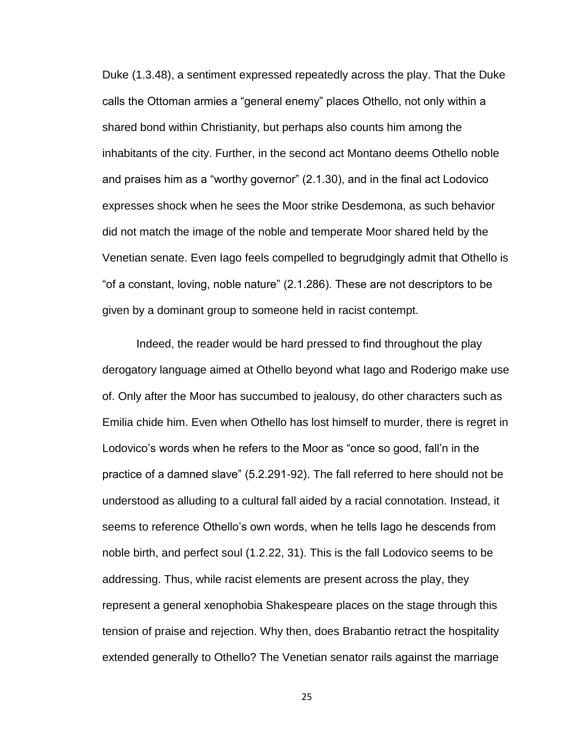Duke (1.3.48), a sentiment expressed repeatedly across the play. That the Duke calls the Ottoman armies a "general enemy" places Othello, not only within a shared bond within Christianity, but perhaps also counts him among the inhabitants of the city. Further, in the second act Montano deems Othello noble and praises him as a "worthy governor" (2.1.30), and in the final act Lodovico expresses shock when he sees the Moor strike Desdemona, as such behavior did not match the image of the noble and temperate Moor shared held by the Venetian senate. Even Iago feels compelled to begrudgingly admit that Othello is "of a constant, loving, noble nature" (2.1.286). These are not descriptors to be given by a dominant group to someone held in racist contempt.

Indeed, the reader would be hard pressed to find throughout the play derogatory language aimed at Othello beyond what Iago and Roderigo make use of. Only after the Moor has succumbed to jealousy, do other characters such as Emilia chide him. Even when Othello has lost himself to murder, there is regret in Lodovico's words when he refers to the Moor as "once so good, fall'n in the practice of a damned slave" (5.2.291-92). The fall referred to here should not be understood as alluding to a cultural fall aided by a racial connotation. Instead, it seems to reference Othello's own words, when he tells Iago he descends from noble birth, and perfect soul (1.2.22, 31). This is the fall Lodovico seems to be addressing. Thus, while racist elements are present across the play, they represent a general xenophobia Shakespeare places on the stage through this tension of praise and rejection. Why then, does Brabantio retract the hospitality extended generally to Othello? The Venetian senator rails against the marriage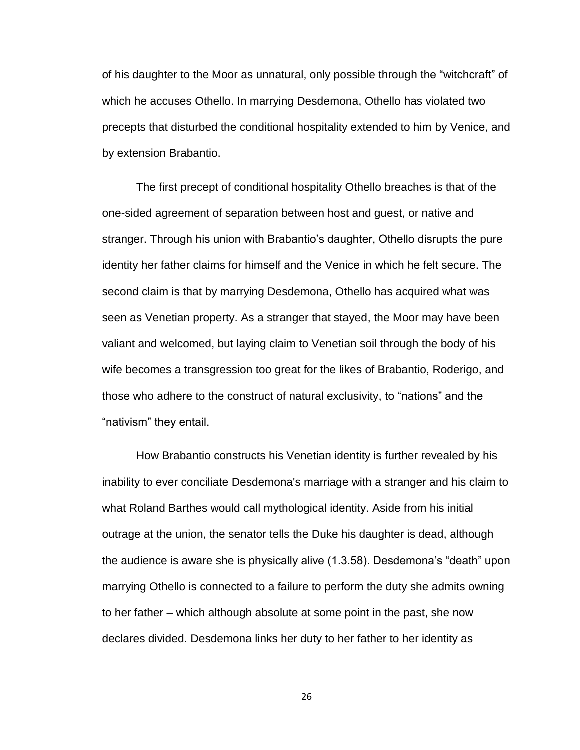of his daughter to the Moor as unnatural, only possible through the "witchcraft" of which he accuses Othello. In marrying Desdemona, Othello has violated two precepts that disturbed the conditional hospitality extended to him by Venice, and by extension Brabantio.

The first precept of conditional hospitality Othello breaches is that of the one-sided agreement of separation between host and guest, or native and stranger. Through his union with Brabantio's daughter, Othello disrupts the pure identity her father claims for himself and the Venice in which he felt secure. The second claim is that by marrying Desdemona, Othello has acquired what was seen as Venetian property. As a stranger that stayed, the Moor may have been valiant and welcomed, but laying claim to Venetian soil through the body of his wife becomes a transgression too great for the likes of Brabantio, Roderigo, and those who adhere to the construct of natural exclusivity, to "nations" and the "nativism" they entail.

How Brabantio constructs his Venetian identity is further revealed by his inability to ever conciliate Desdemona's marriage with a stranger and his claim to what Roland Barthes would call mythological identity. Aside from his initial outrage at the union, the senator tells the Duke his daughter is dead, although the audience is aware she is physically alive (1.3.58). Desdemona's "death" upon marrying Othello is connected to a failure to perform the duty she admits owning to her father – which although absolute at some point in the past, she now declares divided. Desdemona links her duty to her father to her identity as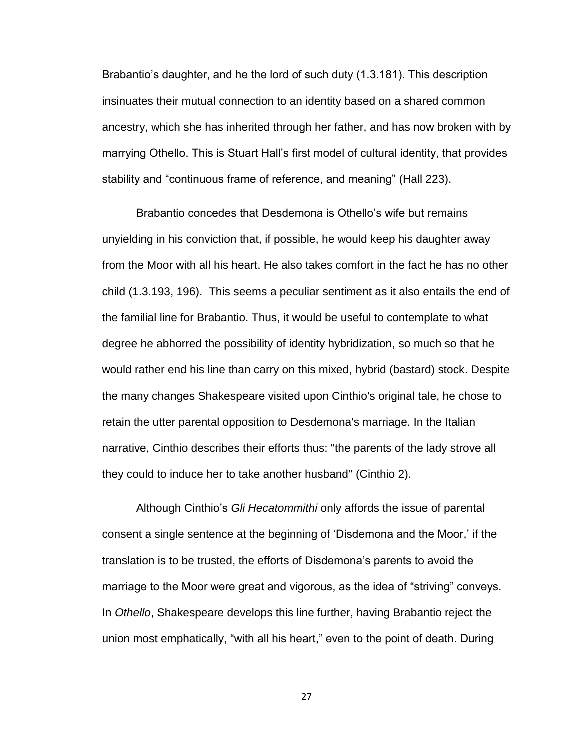Brabantio's daughter, and he the lord of such duty (1.3.181). This description insinuates their mutual connection to an identity based on a shared common ancestry, which she has inherited through her father, and has now broken with by marrying Othello. This is Stuart Hall's first model of cultural identity, that provides stability and "continuous frame of reference, and meaning" (Hall 223).

Brabantio concedes that Desdemona is Othello's wife but remains unyielding in his conviction that, if possible, he would keep his daughter away from the Moor with all his heart. He also takes comfort in the fact he has no other child (1.3.193, 196). This seems a peculiar sentiment as it also entails the end of the familial line for Brabantio. Thus, it would be useful to contemplate to what degree he abhorred the possibility of identity hybridization, so much so that he would rather end his line than carry on this mixed, hybrid (bastard) stock. Despite the many changes Shakespeare visited upon Cinthio's original tale, he chose to retain the utter parental opposition to Desdemona's marriage. In the Italian narrative, Cinthio describes their efforts thus: "the parents of the lady strove all they could to induce her to take another husband" (Cinthio 2).

Although Cinthio's *Gli Hecatommithi* only affords the issue of parental consent a single sentence at the beginning of 'Disdemona and the Moor,' if the translation is to be trusted, the efforts of Disdemona's parents to avoid the marriage to the Moor were great and vigorous, as the idea of "striving" conveys. In *Othello*, Shakespeare develops this line further, having Brabantio reject the union most emphatically, "with all his heart," even to the point of death. During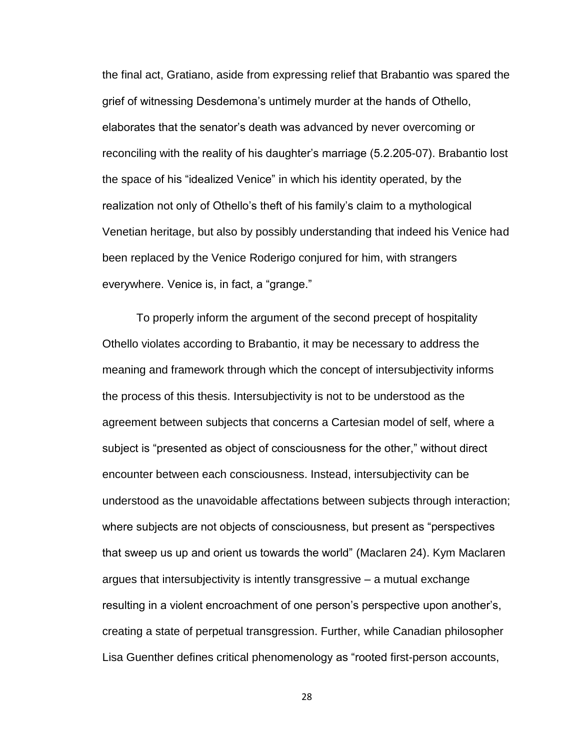the final act, Gratiano, aside from expressing relief that Brabantio was spared the grief of witnessing Desdemona's untimely murder at the hands of Othello, elaborates that the senator's death was advanced by never overcoming or reconciling with the reality of his daughter's marriage (5.2.205-07). Brabantio lost the space of his "idealized Venice" in which his identity operated, by the realization not only of Othello's theft of his family's claim to a mythological Venetian heritage, but also by possibly understanding that indeed his Venice had been replaced by the Venice Roderigo conjured for him, with strangers everywhere. Venice is, in fact, a "grange."

To properly inform the argument of the second precept of hospitality Othello violates according to Brabantio, it may be necessary to address the meaning and framework through which the concept of intersubjectivity informs the process of this thesis. Intersubjectivity is not to be understood as the agreement between subjects that concerns a Cartesian model of self, where a subject is "presented as object of consciousness for the other," without direct encounter between each consciousness. Instead, intersubjectivity can be understood as the unavoidable affectations between subjects through interaction; where subjects are not objects of consciousness, but present as "perspectives that sweep us up and orient us towards the world" (Maclaren 24). Kym Maclaren argues that intersubjectivity is intently transgressive – a mutual exchange resulting in a violent encroachment of one person's perspective upon another's, creating a state of perpetual transgression. Further, while Canadian philosopher Lisa Guenther defines critical phenomenology as "rooted first-person accounts,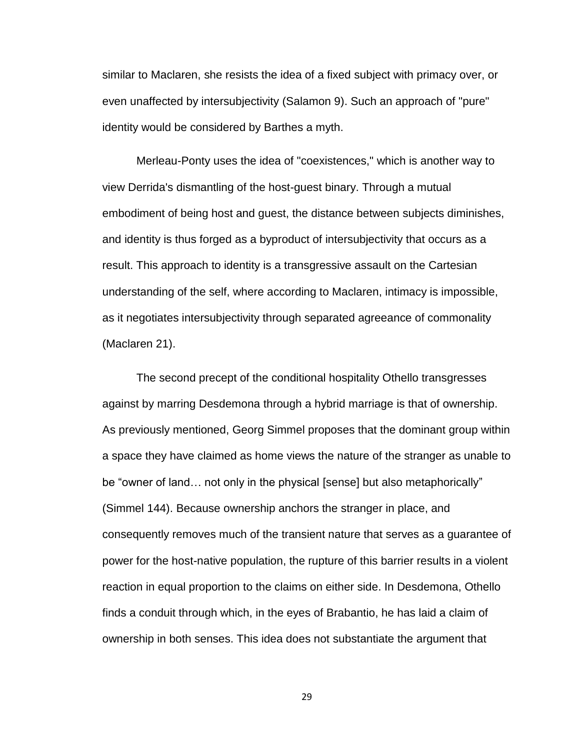similar to Maclaren, she resists the idea of a fixed subject with primacy over, or even unaffected by intersubjectivity (Salamon 9). Such an approach of "pure" identity would be considered by Barthes a myth.

Merleau-Ponty uses the idea of "coexistences," which is another way to view Derrida's dismantling of the host-guest binary. Through a mutual embodiment of being host and guest, the distance between subjects diminishes, and identity is thus forged as a byproduct of intersubjectivity that occurs as a result. This approach to identity is a transgressive assault on the Cartesian understanding of the self, where according to Maclaren, intimacy is impossible, as it negotiates intersubjectivity through separated agreeance of commonality (Maclaren 21).

The second precept of the conditional hospitality Othello transgresses against by marring Desdemona through a hybrid marriage is that of ownership. As previously mentioned, Georg Simmel proposes that the dominant group within a space they have claimed as home views the nature of the stranger as unable to be "owner of land… not only in the physical [sense] but also metaphorically" (Simmel 144). Because ownership anchors the stranger in place, and consequently removes much of the transient nature that serves as a guarantee of power for the host-native population, the rupture of this barrier results in a violent reaction in equal proportion to the claims on either side. In Desdemona, Othello finds a conduit through which, in the eyes of Brabantio, he has laid a claim of ownership in both senses. This idea does not substantiate the argument that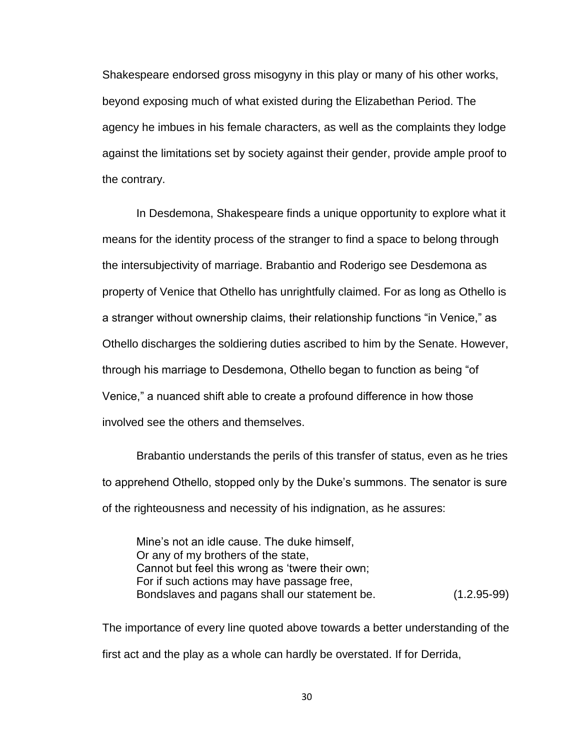Shakespeare endorsed gross misogyny in this play or many of his other works, beyond exposing much of what existed during the Elizabethan Period. The agency he imbues in his female characters, as well as the complaints they lodge against the limitations set by society against their gender, provide ample proof to the contrary.

In Desdemona, Shakespeare finds a unique opportunity to explore what it means for the identity process of the stranger to find a space to belong through the intersubjectivity of marriage. Brabantio and Roderigo see Desdemona as property of Venice that Othello has unrightfully claimed. For as long as Othello is a stranger without ownership claims, their relationship functions "in Venice," as Othello discharges the soldiering duties ascribed to him by the Senate. However, through his marriage to Desdemona, Othello began to function as being "of Venice," a nuanced shift able to create a profound difference in how those involved see the others and themselves.

Brabantio understands the perils of this transfer of status, even as he tries to apprehend Othello, stopped only by the Duke's summons. The senator is sure of the righteousness and necessity of his indignation, as he assures:

Mine's not an idle cause. The duke himself, Or any of my brothers of the state, Cannot but feel this wrong as 'twere their own; For if such actions may have passage free, Bondslaves and pagans shall our statement be. (1.2.95-99)

The importance of every line quoted above towards a better understanding of the first act and the play as a whole can hardly be overstated. If for Derrida,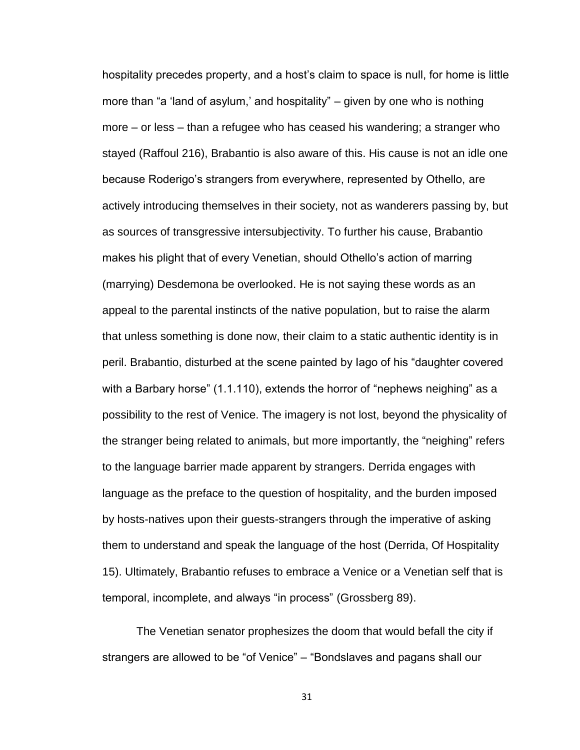hospitality precedes property, and a host's claim to space is null, for home is little more than "a 'land of asylum,' and hospitality" – given by one who is nothing more – or less – than a refugee who has ceased his wandering; a stranger who stayed (Raffoul 216), Brabantio is also aware of this. His cause is not an idle one because Roderigo's strangers from everywhere, represented by Othello, are actively introducing themselves in their society, not as wanderers passing by, but as sources of transgressive intersubjectivity. To further his cause, Brabantio makes his plight that of every Venetian, should Othello's action of marring (marrying) Desdemona be overlooked. He is not saying these words as an appeal to the parental instincts of the native population, but to raise the alarm that unless something is done now, their claim to a static authentic identity is in peril. Brabantio, disturbed at the scene painted by Iago of his "daughter covered with a Barbary horse" (1.1.110), extends the horror of "nephews neighing" as a possibility to the rest of Venice. The imagery is not lost, beyond the physicality of the stranger being related to animals, but more importantly, the "neighing" refers to the language barrier made apparent by strangers. Derrida engages with language as the preface to the question of hospitality, and the burden imposed by hosts-natives upon their guests-strangers through the imperative of asking them to understand and speak the language of the host (Derrida, Of Hospitality 15). Ultimately, Brabantio refuses to embrace a Venice or a Venetian self that is temporal, incomplete, and always "in process" (Grossberg 89).

The Venetian senator prophesizes the doom that would befall the city if strangers are allowed to be "of Venice" – "Bondslaves and pagans shall our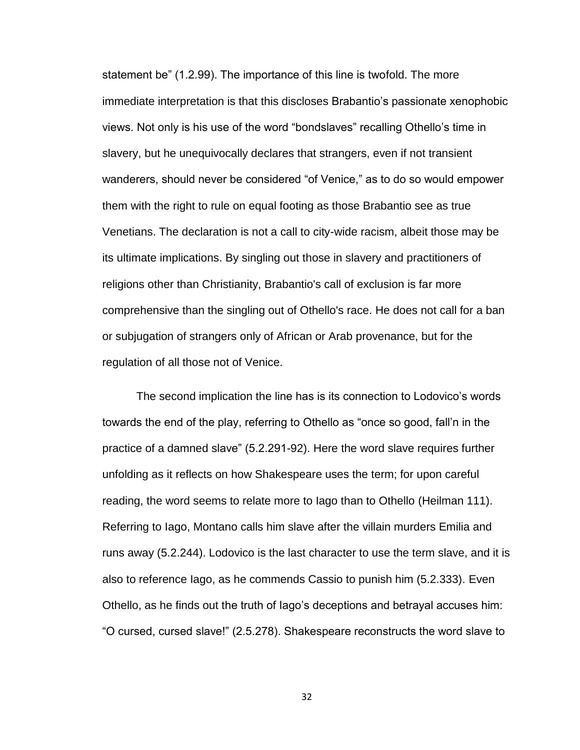statement be" (1.2.99). The importance of this line is twofold. The more immediate interpretation is that this discloses Brabantio's passionate xenophobic views. Not only is his use of the word "bondslaves" recalling Othello's time in slavery, but he unequivocally declares that strangers, even if not transient wanderers, should never be considered "of Venice," as to do so would empower them with the right to rule on equal footing as those Brabantio see as true Venetians. The declaration is not a call to city-wide racism, albeit those may be its ultimate implications. By singling out those in slavery and practitioners of religions other than Christianity, Brabantio's call of exclusion is far more comprehensive than the singling out of Othello's race. He does not call for a ban or subjugation of strangers only of African or Arab provenance, but for the regulation of all those not of Venice.

The second implication the line has is its connection to Lodovico's words towards the end of the play, referring to Othello as "once so good, fall'n in the practice of a damned slave" (5.2.291-92). Here the word slave requires further unfolding as it reflects on how Shakespeare uses the term; for upon careful reading, the word seems to relate more to Iago than to Othello (Heilman 111). Referring to Iago, Montano calls him slave after the villain murders Emilia and runs away (5.2.244). Lodovico is the last character to use the term slave, and it is also to reference Iago, as he commends Cassio to punish him (5.2.333). Even Othello, as he finds out the truth of Iago's deceptions and betrayal accuses him: "O cursed, cursed slave!" (2.5.278). Shakespeare reconstructs the word slave to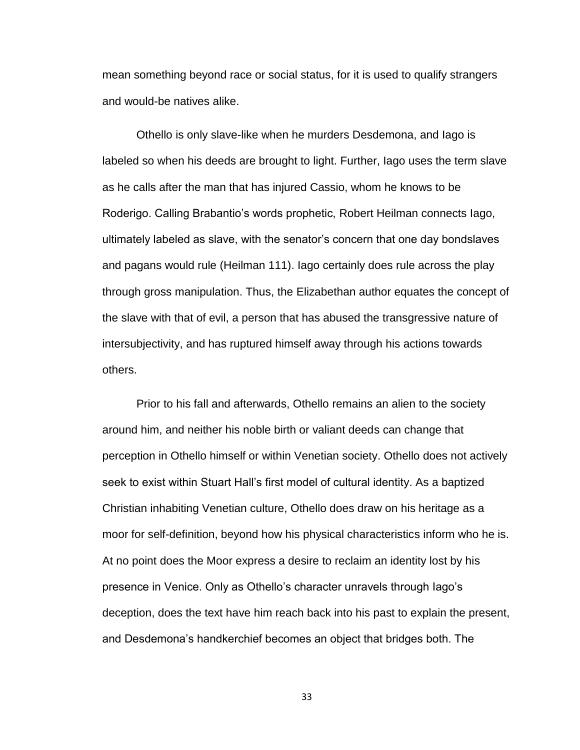mean something beyond race or social status, for it is used to qualify strangers and would-be natives alike.

Othello is only slave-like when he murders Desdemona, and Iago is labeled so when his deeds are brought to light. Further, Iago uses the term slave as he calls after the man that has injured Cassio, whom he knows to be Roderigo. Calling Brabantio's words prophetic, Robert Heilman connects Iago, ultimately labeled as slave, with the senator's concern that one day bondslaves and pagans would rule (Heilman 111). Iago certainly does rule across the play through gross manipulation. Thus, the Elizabethan author equates the concept of the slave with that of evil, a person that has abused the transgressive nature of intersubjectivity, and has ruptured himself away through his actions towards others.

Prior to his fall and afterwards, Othello remains an alien to the society around him, and neither his noble birth or valiant deeds can change that perception in Othello himself or within Venetian society. Othello does not actively seek to exist within Stuart Hall's first model of cultural identity. As a baptized Christian inhabiting Venetian culture, Othello does draw on his heritage as a moor for self-definition, beyond how his physical characteristics inform who he is. At no point does the Moor express a desire to reclaim an identity lost by his presence in Venice. Only as Othello's character unravels through Iago's deception, does the text have him reach back into his past to explain the present, and Desdemona's handkerchief becomes an object that bridges both. The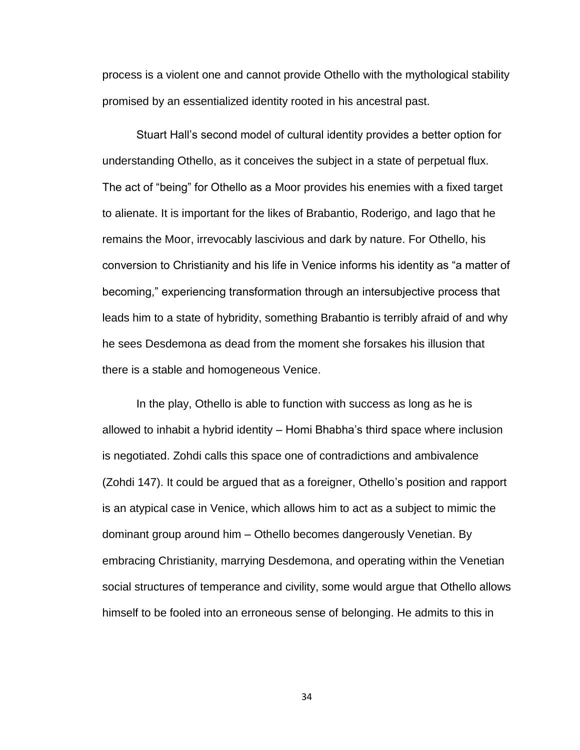process is a violent one and cannot provide Othello with the mythological stability promised by an essentialized identity rooted in his ancestral past.

Stuart Hall's second model of cultural identity provides a better option for understanding Othello, as it conceives the subject in a state of perpetual flux. The act of "being" for Othello as a Moor provides his enemies with a fixed target to alienate. It is important for the likes of Brabantio, Roderigo, and Iago that he remains the Moor, irrevocably lascivious and dark by nature. For Othello, his conversion to Christianity and his life in Venice informs his identity as "a matter of becoming," experiencing transformation through an intersubjective process that leads him to a state of hybridity, something Brabantio is terribly afraid of and why he sees Desdemona as dead from the moment she forsakes his illusion that there is a stable and homogeneous Venice.

In the play, Othello is able to function with success as long as he is allowed to inhabit a hybrid identity – Homi Bhabha's third space where inclusion is negotiated. Zohdi calls this space one of contradictions and ambivalence (Zohdi 147). It could be argued that as a foreigner, Othello's position and rapport is an atypical case in Venice, which allows him to act as a subject to mimic the dominant group around him – Othello becomes dangerously Venetian. By embracing Christianity, marrying Desdemona, and operating within the Venetian social structures of temperance and civility, some would argue that Othello allows himself to be fooled into an erroneous sense of belonging. He admits to this in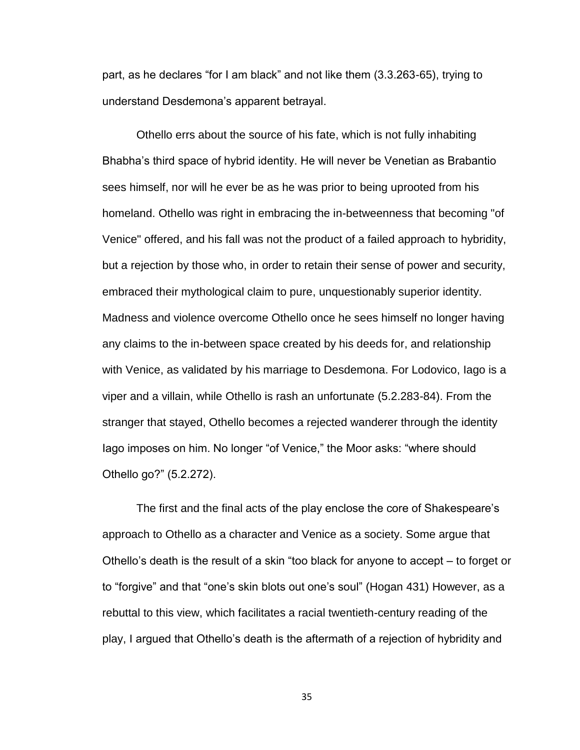part, as he declares "for I am black" and not like them (3.3.263-65), trying to understand Desdemona's apparent betrayal.

Othello errs about the source of his fate, which is not fully inhabiting Bhabha's third space of hybrid identity. He will never be Venetian as Brabantio sees himself, nor will he ever be as he was prior to being uprooted from his homeland. Othello was right in embracing the in-betweenness that becoming "of Venice" offered, and his fall was not the product of a failed approach to hybridity, but a rejection by those who, in order to retain their sense of power and security, embraced their mythological claim to pure, unquestionably superior identity. Madness and violence overcome Othello once he sees himself no longer having any claims to the in-between space created by his deeds for, and relationship with Venice, as validated by his marriage to Desdemona. For Lodovico, Iago is a viper and a villain, while Othello is rash an unfortunate (5.2.283-84). From the stranger that stayed, Othello becomes a rejected wanderer through the identity Iago imposes on him. No longer "of Venice," the Moor asks: "where should Othello go?" (5.2.272).

The first and the final acts of the play enclose the core of Shakespeare's approach to Othello as a character and Venice as a society. Some argue that Othello's death is the result of a skin "too black for anyone to accept – to forget or to "forgive" and that "one's skin blots out one's soul" (Hogan 431) However, as a rebuttal to this view, which facilitates a racial twentieth-century reading of the play, I argued that Othello's death is the aftermath of a rejection of hybridity and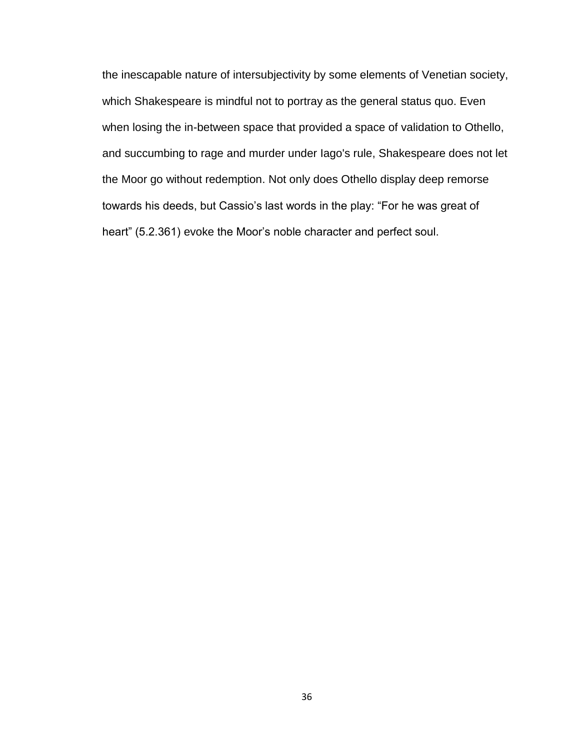the inescapable nature of intersubjectivity by some elements of Venetian society, which Shakespeare is mindful not to portray as the general status quo. Even when losing the in-between space that provided a space of validation to Othello, and succumbing to rage and murder under Iago's rule, Shakespeare does not let the Moor go without redemption. Not only does Othello display deep remorse towards his deeds, but Cassio's last words in the play: "For he was great of heart" (5.2.361) evoke the Moor's noble character and perfect soul.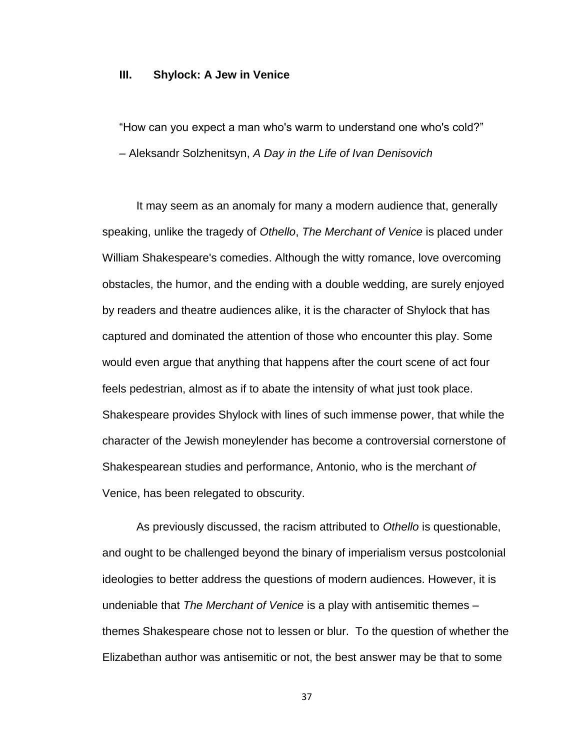#### **III. Shylock: A Jew in Venice**

"How can you expect a man who's warm to understand one who's cold?" – Aleksandr Solzhenitsyn, *A Day in the Life of Ivan Denisovich*

It may seem as an anomaly for many a modern audience that, generally speaking, unlike the tragedy of *Othello*, *The Merchant of Venice* is placed under William Shakespeare's comedies. Although the witty romance, love overcoming obstacles, the humor, and the ending with a double wedding, are surely enjoyed by readers and theatre audiences alike, it is the character of Shylock that has captured and dominated the attention of those who encounter this play. Some would even argue that anything that happens after the court scene of act four feels pedestrian, almost as if to abate the intensity of what just took place. Shakespeare provides Shylock with lines of such immense power, that while the character of the Jewish moneylender has become a controversial cornerstone of Shakespearean studies and performance, Antonio, who is the merchant *of* Venice, has been relegated to obscurity.

As previously discussed, the racism attributed to *Othello* is questionable, and ought to be challenged beyond the binary of imperialism versus postcolonial ideologies to better address the questions of modern audiences. However, it is undeniable that *The Merchant of Venice* is a play with antisemitic themes – themes Shakespeare chose not to lessen or blur. To the question of whether the Elizabethan author was antisemitic or not, the best answer may be that to some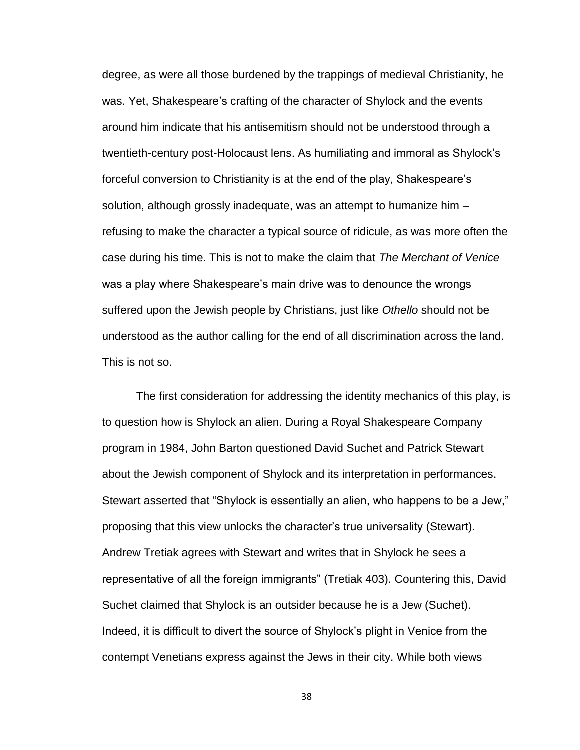degree, as were all those burdened by the trappings of medieval Christianity, he was. Yet, Shakespeare's crafting of the character of Shylock and the events around him indicate that his antisemitism should not be understood through a twentieth-century post-Holocaust lens. As humiliating and immoral as Shylock's forceful conversion to Christianity is at the end of the play, Shakespeare's solution, although grossly inadequate, was an attempt to humanize him – refusing to make the character a typical source of ridicule, as was more often the case during his time. This is not to make the claim that *The Merchant of Venice* was a play where Shakespeare's main drive was to denounce the wrongs suffered upon the Jewish people by Christians, just like *Othello* should not be understood as the author calling for the end of all discrimination across the land. This is not so.

The first consideration for addressing the identity mechanics of this play, is to question how is Shylock an alien. During a Royal Shakespeare Company program in 1984, John Barton questioned David Suchet and Patrick Stewart about the Jewish component of Shylock and its interpretation in performances. Stewart asserted that "Shylock is essentially an alien, who happens to be a Jew," proposing that this view unlocks the character's true universality (Stewart). Andrew Tretiak agrees with Stewart and writes that in Shylock he sees a representative of all the foreign immigrants" (Tretiak 403). Countering this, David Suchet claimed that Shylock is an outsider because he is a Jew (Suchet). Indeed, it is difficult to divert the source of Shylock's plight in Venice from the contempt Venetians express against the Jews in their city. While both views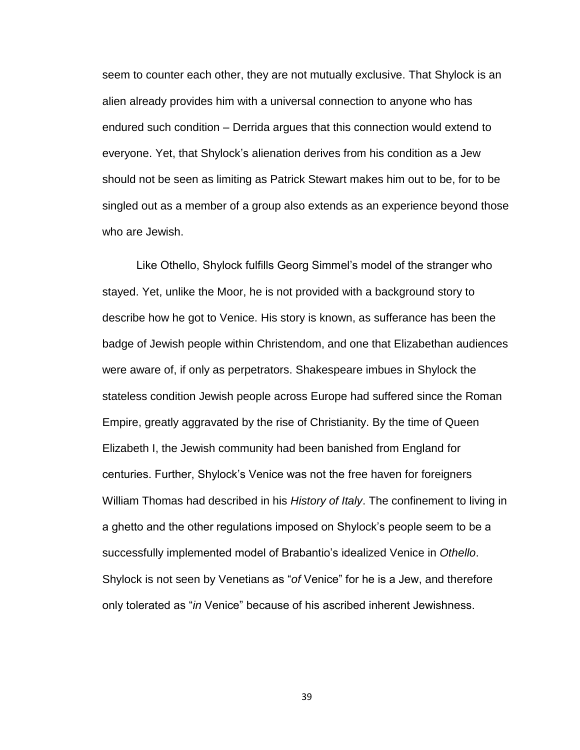seem to counter each other, they are not mutually exclusive. That Shylock is an alien already provides him with a universal connection to anyone who has endured such condition – Derrida argues that this connection would extend to everyone. Yet, that Shylock's alienation derives from his condition as a Jew should not be seen as limiting as Patrick Stewart makes him out to be, for to be singled out as a member of a group also extends as an experience beyond those who are Jewish.

Like Othello, Shylock fulfills Georg Simmel's model of the stranger who stayed. Yet, unlike the Moor, he is not provided with a background story to describe how he got to Venice. His story is known, as sufferance has been the badge of Jewish people within Christendom, and one that Elizabethan audiences were aware of, if only as perpetrators. Shakespeare imbues in Shylock the stateless condition Jewish people across Europe had suffered since the Roman Empire, greatly aggravated by the rise of Christianity. By the time of Queen Elizabeth I, the Jewish community had been banished from England for centuries. Further, Shylock's Venice was not the free haven for foreigners William Thomas had described in his *History of Italy*. The confinement to living in a ghetto and the other regulations imposed on Shylock's people seem to be a successfully implemented model of Brabantio's idealized Venice in *Othello*. Shylock is not seen by Venetians as "*of* Venice" for he is a Jew, and therefore only tolerated as "*in* Venice" because of his ascribed inherent Jewishness.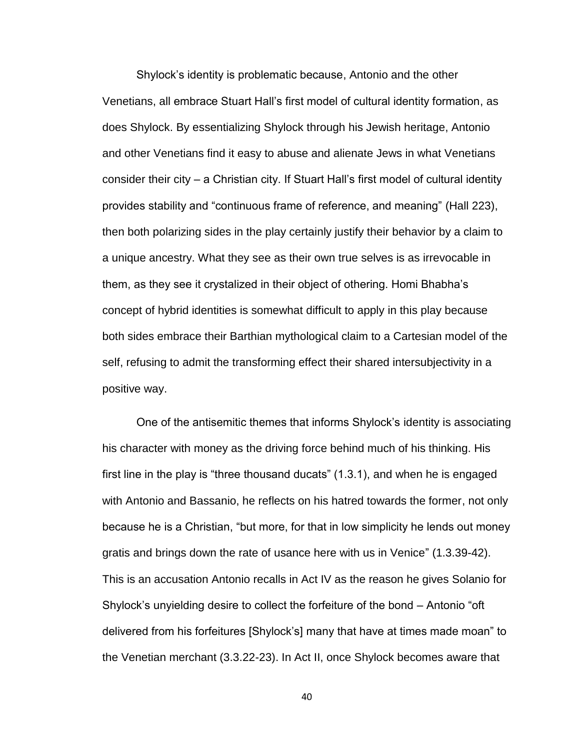Shylock's identity is problematic because, Antonio and the other Venetians, all embrace Stuart Hall's first model of cultural identity formation, as does Shylock. By essentializing Shylock through his Jewish heritage, Antonio and other Venetians find it easy to abuse and alienate Jews in what Venetians consider their city – a Christian city. If Stuart Hall's first model of cultural identity provides stability and "continuous frame of reference, and meaning" (Hall 223), then both polarizing sides in the play certainly justify their behavior by a claim to a unique ancestry. What they see as their own true selves is as irrevocable in them, as they see it crystalized in their object of othering. Homi Bhabha's concept of hybrid identities is somewhat difficult to apply in this play because both sides embrace their Barthian mythological claim to a Cartesian model of the self, refusing to admit the transforming effect their shared intersubjectivity in a positive way.

One of the antisemitic themes that informs Shylock's identity is associating his character with money as the driving force behind much of his thinking. His first line in the play is "three thousand ducats" (1.3.1), and when he is engaged with Antonio and Bassanio, he reflects on his hatred towards the former, not only because he is a Christian, "but more, for that in low simplicity he lends out money gratis and brings down the rate of usance here with us in Venice" (1.3.39-42). This is an accusation Antonio recalls in Act IV as the reason he gives Solanio for Shylock's unyielding desire to collect the forfeiture of the bond – Antonio "oft delivered from his forfeitures [Shylock's] many that have at times made moan" to the Venetian merchant (3.3.22-23). In Act II, once Shylock becomes aware that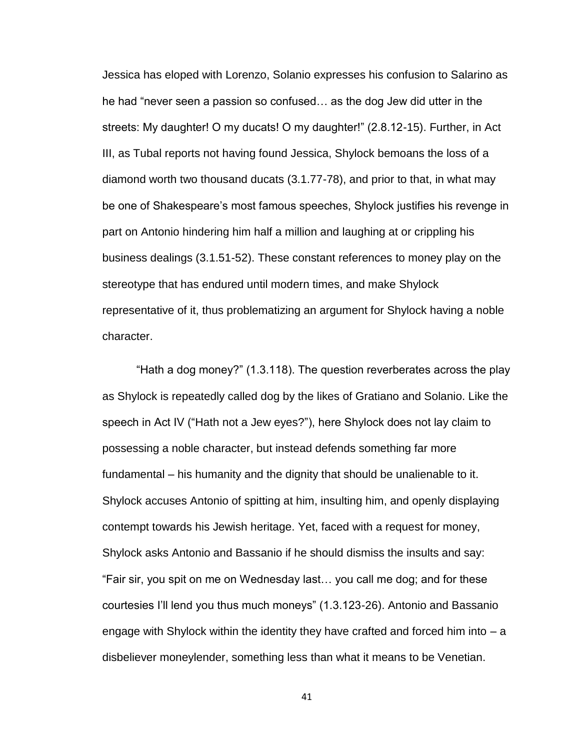Jessica has eloped with Lorenzo, Solanio expresses his confusion to Salarino as he had "never seen a passion so confused… as the dog Jew did utter in the streets: My daughter! O my ducats! O my daughter!" (2.8.12-15). Further, in Act III, as Tubal reports not having found Jessica, Shylock bemoans the loss of a diamond worth two thousand ducats (3.1.77-78), and prior to that, in what may be one of Shakespeare's most famous speeches, Shylock justifies his revenge in part on Antonio hindering him half a million and laughing at or crippling his business dealings (3.1.51-52). These constant references to money play on the stereotype that has endured until modern times, and make Shylock representative of it, thus problematizing an argument for Shylock having a noble character.

"Hath a dog money?" (1.3.118). The question reverberates across the play as Shylock is repeatedly called dog by the likes of Gratiano and Solanio. Like the speech in Act IV ("Hath not a Jew eyes?"), here Shylock does not lay claim to possessing a noble character, but instead defends something far more fundamental – his humanity and the dignity that should be unalienable to it. Shylock accuses Antonio of spitting at him, insulting him, and openly displaying contempt towards his Jewish heritage. Yet, faced with a request for money, Shylock asks Antonio and Bassanio if he should dismiss the insults and say: "Fair sir, you spit on me on Wednesday last… you call me dog; and for these courtesies I'll lend you thus much moneys" (1.3.123-26). Antonio and Bassanio engage with Shylock within the identity they have crafted and forced him into  $- a$ disbeliever moneylender, something less than what it means to be Venetian.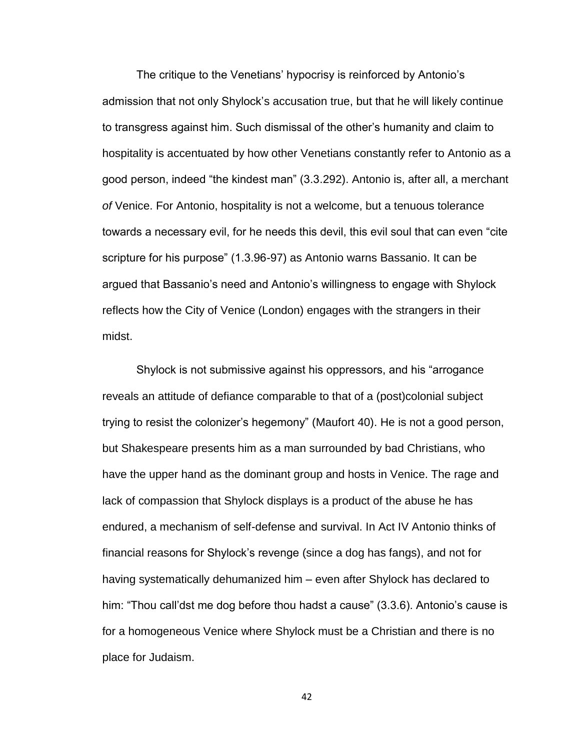The critique to the Venetians' hypocrisy is reinforced by Antonio's admission that not only Shylock's accusation true, but that he will likely continue to transgress against him. Such dismissal of the other's humanity and claim to hospitality is accentuated by how other Venetians constantly refer to Antonio as a good person, indeed "the kindest man" (3.3.292). Antonio is, after all, a merchant *of* Venice. For Antonio, hospitality is not a welcome, but a tenuous tolerance towards a necessary evil, for he needs this devil, this evil soul that can even "cite scripture for his purpose" (1.3.96-97) as Antonio warns Bassanio. It can be argued that Bassanio's need and Antonio's willingness to engage with Shylock reflects how the City of Venice (London) engages with the strangers in their midst.

Shylock is not submissive against his oppressors, and his "arrogance reveals an attitude of defiance comparable to that of a (post)colonial subject trying to resist the colonizer's hegemony" (Maufort 40). He is not a good person, but Shakespeare presents him as a man surrounded by bad Christians, who have the upper hand as the dominant group and hosts in Venice. The rage and lack of compassion that Shylock displays is a product of the abuse he has endured, a mechanism of self-defense and survival. In Act IV Antonio thinks of financial reasons for Shylock's revenge (since a dog has fangs), and not for having systematically dehumanized him – even after Shylock has declared to him: "Thou call'dst me dog before thou hadst a cause" (3.3.6). Antonio's cause is for a homogeneous Venice where Shylock must be a Christian and there is no place for Judaism.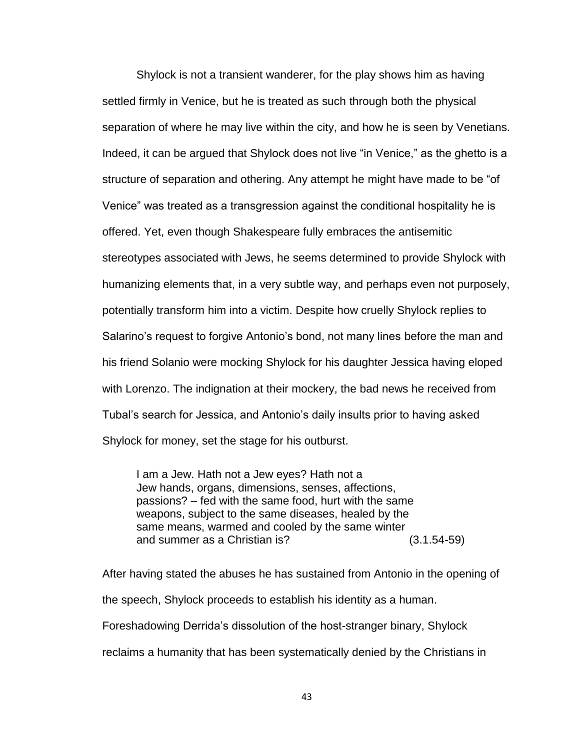Shylock is not a transient wanderer, for the play shows him as having settled firmly in Venice, but he is treated as such through both the physical separation of where he may live within the city, and how he is seen by Venetians. Indeed, it can be argued that Shylock does not live "in Venice," as the ghetto is a structure of separation and othering. Any attempt he might have made to be "of Venice" was treated as a transgression against the conditional hospitality he is offered. Yet, even though Shakespeare fully embraces the antisemitic stereotypes associated with Jews, he seems determined to provide Shylock with humanizing elements that, in a very subtle way, and perhaps even not purposely, potentially transform him into a victim. Despite how cruelly Shylock replies to Salarino's request to forgive Antonio's bond, not many lines before the man and his friend Solanio were mocking Shylock for his daughter Jessica having eloped with Lorenzo. The indignation at their mockery, the bad news he received from Tubal's search for Jessica, and Antonio's daily insults prior to having asked Shylock for money, set the stage for his outburst.

I am a Jew. Hath not a Jew eyes? Hath not a Jew hands, organs, dimensions, senses, affections, passions? – fed with the same food, hurt with the same weapons, subject to the same diseases, healed by the same means, warmed and cooled by the same winter and summer as a Christian is? (3.1.54-59)

After having stated the abuses he has sustained from Antonio in the opening of the speech, Shylock proceeds to establish his identity as a human. Foreshadowing Derrida's dissolution of the host-stranger binary, Shylock reclaims a humanity that has been systematically denied by the Christians in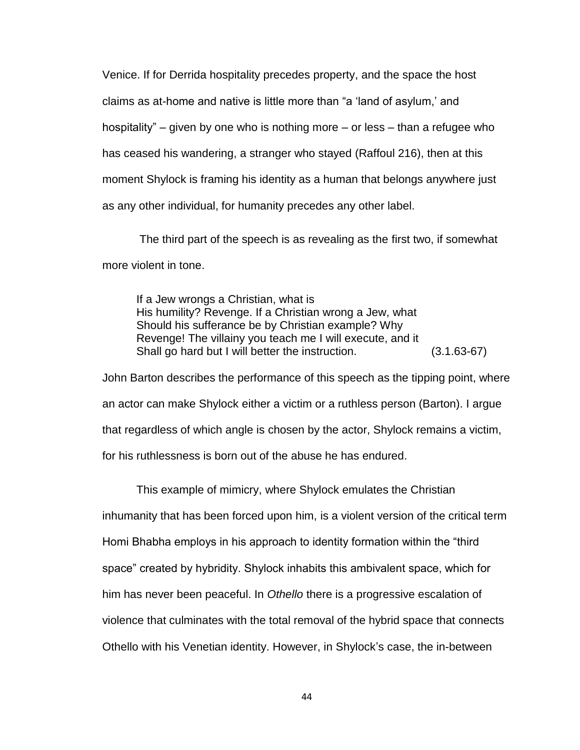Venice. If for Derrida hospitality precedes property, and the space the host claims as at-home and native is little more than "a 'land of asylum,' and hospitality" – given by one who is nothing more – or less – than a refugee who has ceased his wandering, a stranger who stayed (Raffoul 216), then at this moment Shylock is framing his identity as a human that belongs anywhere just as any other individual, for humanity precedes any other label.

The third part of the speech is as revealing as the first two, if somewhat more violent in tone.

If a Jew wrongs a Christian, what is His humility? Revenge. If a Christian wrong a Jew, what Should his sufferance be by Christian example? Why Revenge! The villainy you teach me I will execute, and it Shall go hard but I will better the instruction. (3.1.63-67)

John Barton describes the performance of this speech as the tipping point, where an actor can make Shylock either a victim or a ruthless person (Barton). I argue that regardless of which angle is chosen by the actor, Shylock remains a victim, for his ruthlessness is born out of the abuse he has endured.

This example of mimicry, where Shylock emulates the Christian inhumanity that has been forced upon him, is a violent version of the critical term Homi Bhabha employs in his approach to identity formation within the "third space" created by hybridity. Shylock inhabits this ambivalent space, which for him has never been peaceful. In *Othello* there is a progressive escalation of violence that culminates with the total removal of the hybrid space that connects Othello with his Venetian identity. However, in Shylock's case, the in-between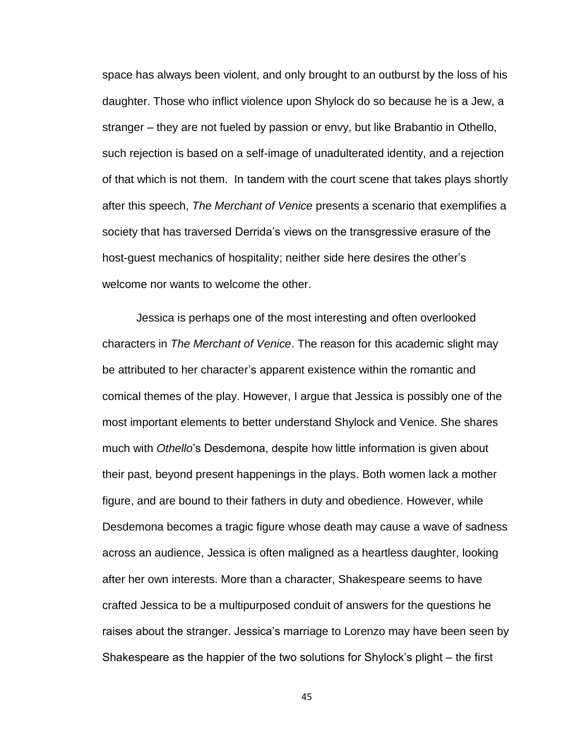space has always been violent, and only brought to an outburst by the loss of his daughter. Those who inflict violence upon Shylock do so because he is a Jew, a stranger – they are not fueled by passion or envy, but like Brabantio in Othello, such rejection is based on a self-image of unadulterated identity, and a rejection of that which is not them. In tandem with the court scene that takes plays shortly after this speech, *The Merchant of Venice* presents a scenario that exemplifies a society that has traversed Derrida's views on the transgressive erasure of the host-guest mechanics of hospitality; neither side here desires the other's welcome nor wants to welcome the other.

Jessica is perhaps one of the most interesting and often overlooked characters in *The Merchant of Venice*. The reason for this academic slight may be attributed to her character's apparent existence within the romantic and comical themes of the play. However, I argue that Jessica is possibly one of the most important elements to better understand Shylock and Venice. She shares much with *Othello*'s Desdemona, despite how little information is given about their past, beyond present happenings in the plays. Both women lack a mother figure, and are bound to their fathers in duty and obedience. However, while Desdemona becomes a tragic figure whose death may cause a wave of sadness across an audience, Jessica is often maligned as a heartless daughter, looking after her own interests. More than a character, Shakespeare seems to have crafted Jessica to be a multipurposed conduit of answers for the questions he raises about the stranger. Jessica's marriage to Lorenzo may have been seen by Shakespeare as the happier of the two solutions for Shylock's plight – the first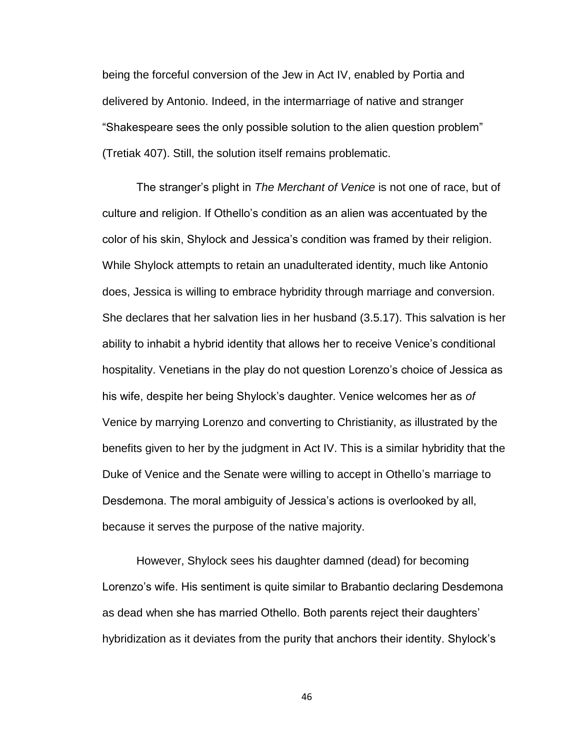being the forceful conversion of the Jew in Act IV, enabled by Portia and delivered by Antonio. Indeed, in the intermarriage of native and stranger "Shakespeare sees the only possible solution to the alien question problem" (Tretiak 407). Still, the solution itself remains problematic.

The stranger's plight in *The Merchant of Venice* is not one of race, but of culture and religion. If Othello's condition as an alien was accentuated by the color of his skin, Shylock and Jessica's condition was framed by their religion. While Shylock attempts to retain an unadulterated identity, much like Antonio does, Jessica is willing to embrace hybridity through marriage and conversion. She declares that her salvation lies in her husband (3.5.17). This salvation is her ability to inhabit a hybrid identity that allows her to receive Venice's conditional hospitality. Venetians in the play do not question Lorenzo's choice of Jessica as his wife, despite her being Shylock's daughter. Venice welcomes her as *of* Venice by marrying Lorenzo and converting to Christianity, as illustrated by the benefits given to her by the judgment in Act IV. This is a similar hybridity that the Duke of Venice and the Senate were willing to accept in Othello's marriage to Desdemona. The moral ambiguity of Jessica's actions is overlooked by all, because it serves the purpose of the native majority.

However, Shylock sees his daughter damned (dead) for becoming Lorenzo's wife. His sentiment is quite similar to Brabantio declaring Desdemona as dead when she has married Othello. Both parents reject their daughters' hybridization as it deviates from the purity that anchors their identity. Shylock's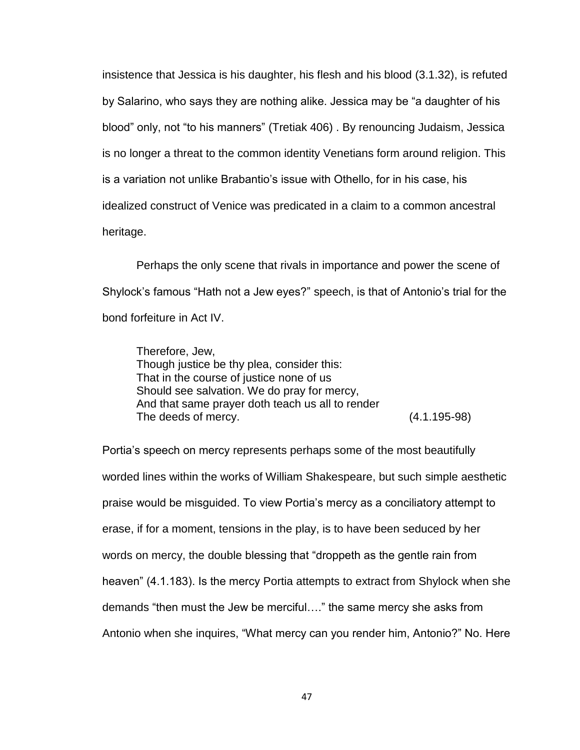insistence that Jessica is his daughter, his flesh and his blood (3.1.32), is refuted by Salarino, who says they are nothing alike. Jessica may be "a daughter of his blood" only, not "to his manners" (Tretiak 406) . By renouncing Judaism, Jessica is no longer a threat to the common identity Venetians form around religion. This is a variation not unlike Brabantio's issue with Othello, for in his case, his idealized construct of Venice was predicated in a claim to a common ancestral heritage.

Perhaps the only scene that rivals in importance and power the scene of Shylock's famous "Hath not a Jew eyes?" speech, is that of Antonio's trial for the bond forfeiture in Act IV.

Therefore, Jew, Though justice be thy plea, consider this: That in the course of justice none of us Should see salvation. We do pray for mercy, And that same prayer doth teach us all to render The deeds of mercy. (4.1.195-98)

Portia's speech on mercy represents perhaps some of the most beautifully worded lines within the works of William Shakespeare, but such simple aesthetic praise would be misguided. To view Portia's mercy as a conciliatory attempt to erase, if for a moment, tensions in the play, is to have been seduced by her words on mercy, the double blessing that "droppeth as the gentle rain from heaven" (4.1.183). Is the mercy Portia attempts to extract from Shylock when she demands "then must the Jew be merciful…." the same mercy she asks from Antonio when she inquires, "What mercy can you render him, Antonio?" No. Here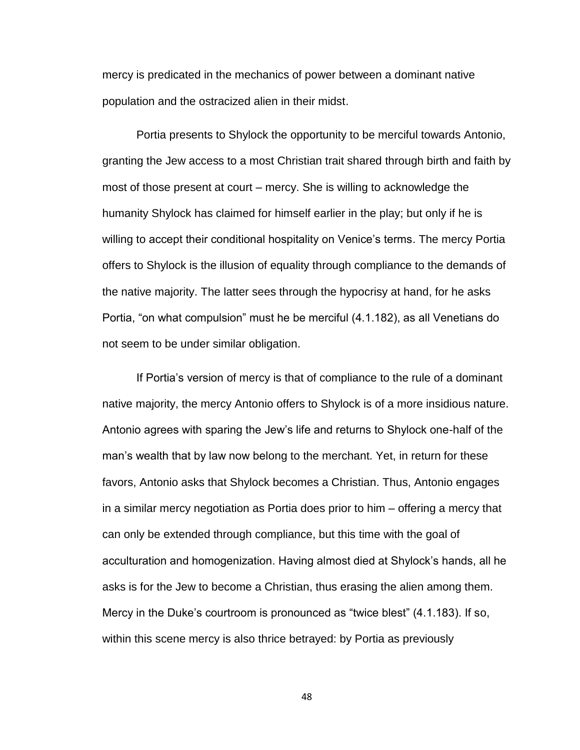mercy is predicated in the mechanics of power between a dominant native population and the ostracized alien in their midst.

Portia presents to Shylock the opportunity to be merciful towards Antonio, granting the Jew access to a most Christian trait shared through birth and faith by most of those present at court – mercy. She is willing to acknowledge the humanity Shylock has claimed for himself earlier in the play; but only if he is willing to accept their conditional hospitality on Venice's terms. The mercy Portia offers to Shylock is the illusion of equality through compliance to the demands of the native majority. The latter sees through the hypocrisy at hand, for he asks Portia, "on what compulsion" must he be merciful (4.1.182), as all Venetians do not seem to be under similar obligation.

If Portia's version of mercy is that of compliance to the rule of a dominant native majority, the mercy Antonio offers to Shylock is of a more insidious nature. Antonio agrees with sparing the Jew's life and returns to Shylock one-half of the man's wealth that by law now belong to the merchant. Yet, in return for these favors, Antonio asks that Shylock becomes a Christian. Thus, Antonio engages in a similar mercy negotiation as Portia does prior to him – offering a mercy that can only be extended through compliance, but this time with the goal of acculturation and homogenization. Having almost died at Shylock's hands, all he asks is for the Jew to become a Christian, thus erasing the alien among them. Mercy in the Duke's courtroom is pronounced as "twice blest" (4.1.183). If so, within this scene mercy is also thrice betrayed: by Portia as previously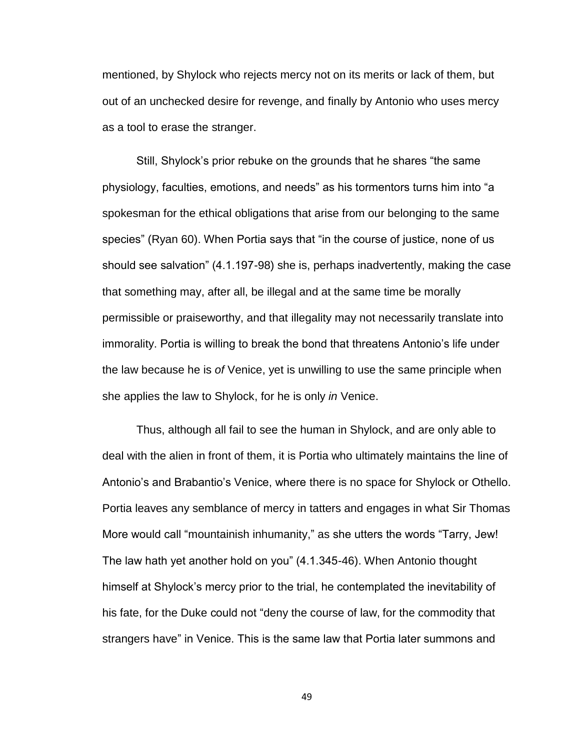mentioned, by Shylock who rejects mercy not on its merits or lack of them, but out of an unchecked desire for revenge, and finally by Antonio who uses mercy as a tool to erase the stranger.

Still, Shylock's prior rebuke on the grounds that he shares "the same physiology, faculties, emotions, and needs" as his tormentors turns him into "a spokesman for the ethical obligations that arise from our belonging to the same species" (Ryan 60). When Portia says that "in the course of justice, none of us should see salvation" (4.1.197-98) she is, perhaps inadvertently, making the case that something may, after all, be illegal and at the same time be morally permissible or praiseworthy, and that illegality may not necessarily translate into immorality. Portia is willing to break the bond that threatens Antonio's life under the law because he is *of* Venice, yet is unwilling to use the same principle when she applies the law to Shylock, for he is only *in* Venice.

Thus, although all fail to see the human in Shylock, and are only able to deal with the alien in front of them, it is Portia who ultimately maintains the line of Antonio's and Brabantio's Venice, where there is no space for Shylock or Othello. Portia leaves any semblance of mercy in tatters and engages in what Sir Thomas More would call "mountainish inhumanity," as she utters the words "Tarry, Jew! The law hath yet another hold on you" (4.1.345-46). When Antonio thought himself at Shylock's mercy prior to the trial, he contemplated the inevitability of his fate, for the Duke could not "deny the course of law, for the commodity that strangers have" in Venice. This is the same law that Portia later summons and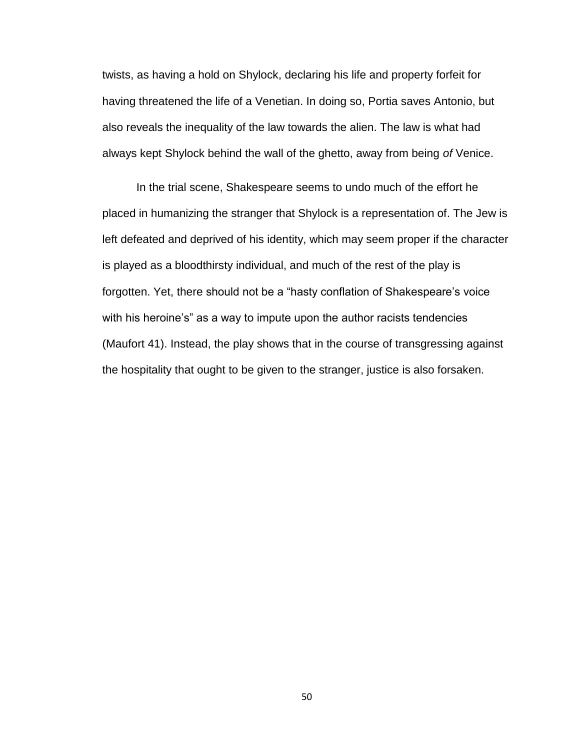twists, as having a hold on Shylock, declaring his life and property forfeit for having threatened the life of a Venetian. In doing so, Portia saves Antonio, but also reveals the inequality of the law towards the alien. The law is what had always kept Shylock behind the wall of the ghetto, away from being *of* Venice.

In the trial scene, Shakespeare seems to undo much of the effort he placed in humanizing the stranger that Shylock is a representation of. The Jew is left defeated and deprived of his identity, which may seem proper if the character is played as a bloodthirsty individual, and much of the rest of the play is forgotten. Yet, there should not be a "hasty conflation of Shakespeare's voice with his heroine's" as a way to impute upon the author racists tendencies (Maufort 41). Instead, the play shows that in the course of transgressing against the hospitality that ought to be given to the stranger, justice is also forsaken.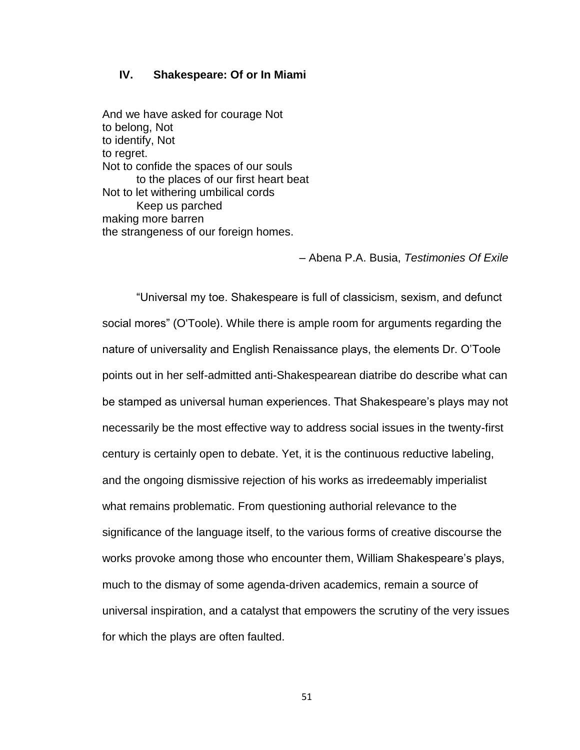### **IV. Shakespeare: Of or In Miami**

And we have asked for courage Not to belong, Not to identify, Not to regret. Not to confide the spaces of our souls to the places of our first heart beat Not to let withering umbilical cords Keep us parched making more barren the strangeness of our foreign homes.

– Abena P.A. Busia, *Testimonies Of Exile*

"Universal my toe. Shakespeare is full of classicism, sexism, and defunct social mores" (O'Toole). While there is ample room for arguments regarding the nature of universality and English Renaissance plays, the elements Dr. O'Toole points out in her self-admitted anti-Shakespearean diatribe do describe what can be stamped as universal human experiences. That Shakespeare's plays may not necessarily be the most effective way to address social issues in the twenty-first century is certainly open to debate. Yet, it is the continuous reductive labeling, and the ongoing dismissive rejection of his works as irredeemably imperialist what remains problematic. From questioning authorial relevance to the significance of the language itself, to the various forms of creative discourse the works provoke among those who encounter them, William Shakespeare's plays, much to the dismay of some agenda-driven academics, remain a source of universal inspiration, and a catalyst that empowers the scrutiny of the very issues for which the plays are often faulted.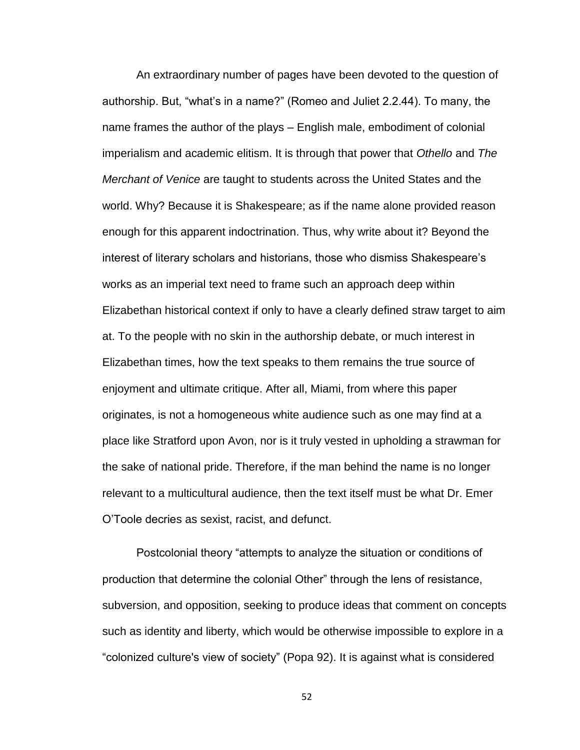An extraordinary number of pages have been devoted to the question of authorship. But, "what's in a name?" (Romeo and Juliet 2.2.44). To many, the name frames the author of the plays – English male, embodiment of colonial imperialism and academic elitism. It is through that power that *Othello* and *The Merchant of Venice* are taught to students across the United States and the world. Why? Because it is Shakespeare; as if the name alone provided reason enough for this apparent indoctrination. Thus, why write about it? Beyond the interest of literary scholars and historians, those who dismiss Shakespeare's works as an imperial text need to frame such an approach deep within Elizabethan historical context if only to have a clearly defined straw target to aim at. To the people with no skin in the authorship debate, or much interest in Elizabethan times, how the text speaks to them remains the true source of enjoyment and ultimate critique. After all, Miami, from where this paper originates, is not a homogeneous white audience such as one may find at a place like Stratford upon Avon, nor is it truly vested in upholding a strawman for the sake of national pride. Therefore, if the man behind the name is no longer relevant to a multicultural audience, then the text itself must be what Dr. Emer O'Toole decries as sexist, racist, and defunct.

Postcolonial theory "attempts to analyze the situation or conditions of production that determine the colonial Other" through the lens of resistance, subversion, and opposition, seeking to produce ideas that comment on concepts such as identity and liberty, which would be otherwise impossible to explore in a "colonized culture's view of society" (Popa 92). It is against what is considered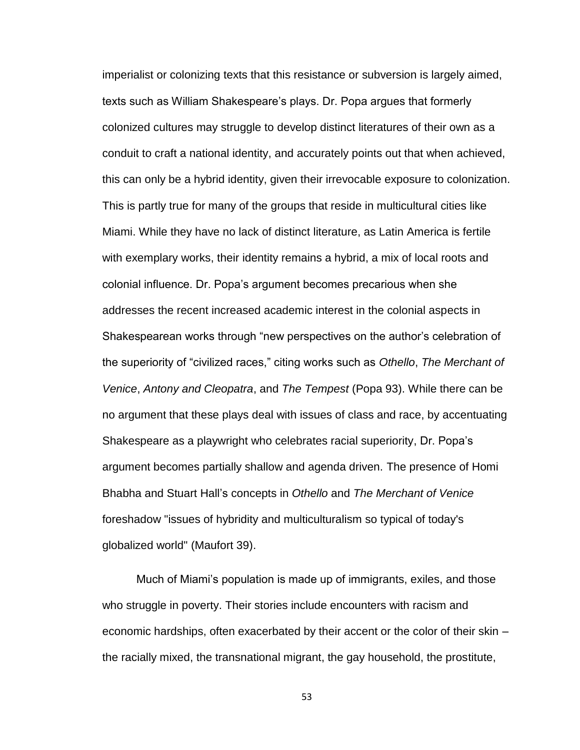imperialist or colonizing texts that this resistance or subversion is largely aimed, texts such as William Shakespeare's plays. Dr. Popa argues that formerly colonized cultures may struggle to develop distinct literatures of their own as a conduit to craft a national identity, and accurately points out that when achieved, this can only be a hybrid identity, given their irrevocable exposure to colonization. This is partly true for many of the groups that reside in multicultural cities like Miami. While they have no lack of distinct literature, as Latin America is fertile with exemplary works, their identity remains a hybrid, a mix of local roots and colonial influence. Dr. Popa's argument becomes precarious when she addresses the recent increased academic interest in the colonial aspects in Shakespearean works through "new perspectives on the author's celebration of the superiority of "civilized races," citing works such as *Othello*, *The Merchant of Venice*, *Antony and Cleopatra*, and *The Tempest* (Popa 93). While there can be no argument that these plays deal with issues of class and race, by accentuating Shakespeare as a playwright who celebrates racial superiority, Dr. Popa's argument becomes partially shallow and agenda driven. The presence of Homi Bhabha and Stuart Hall's concepts in *Othello* and *The Merchant of Venice* foreshadow "issues of hybridity and multiculturalism so typical of today's globalized world" (Maufort 39).

Much of Miami's population is made up of immigrants, exiles, and those who struggle in poverty. Their stories include encounters with racism and economic hardships, often exacerbated by their accent or the color of their skin – the racially mixed, the transnational migrant, the gay household, the prostitute,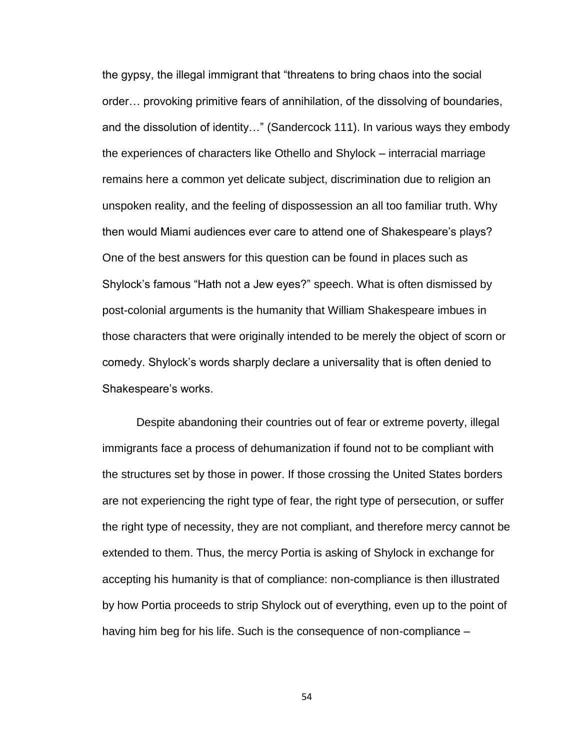the gypsy, the illegal immigrant that "threatens to bring chaos into the social order… provoking primitive fears of annihilation, of the dissolving of boundaries, and the dissolution of identity…" (Sandercock 111). In various ways they embody the experiences of characters like Othello and Shylock – interracial marriage remains here a common yet delicate subject, discrimination due to religion an unspoken reality, and the feeling of dispossession an all too familiar truth. Why then would Miami audiences ever care to attend one of Shakespeare's plays? One of the best answers for this question can be found in places such as Shylock's famous "Hath not a Jew eyes?" speech. What is often dismissed by post-colonial arguments is the humanity that William Shakespeare imbues in those characters that were originally intended to be merely the object of scorn or comedy. Shylock's words sharply declare a universality that is often denied to Shakespeare's works.

Despite abandoning their countries out of fear or extreme poverty, illegal immigrants face a process of dehumanization if found not to be compliant with the structures set by those in power. If those crossing the United States borders are not experiencing the right type of fear, the right type of persecution, or suffer the right type of necessity, they are not compliant, and therefore mercy cannot be extended to them. Thus, the mercy Portia is asking of Shylock in exchange for accepting his humanity is that of compliance: non-compliance is then illustrated by how Portia proceeds to strip Shylock out of everything, even up to the point of having him beg for his life. Such is the consequence of non-compliance –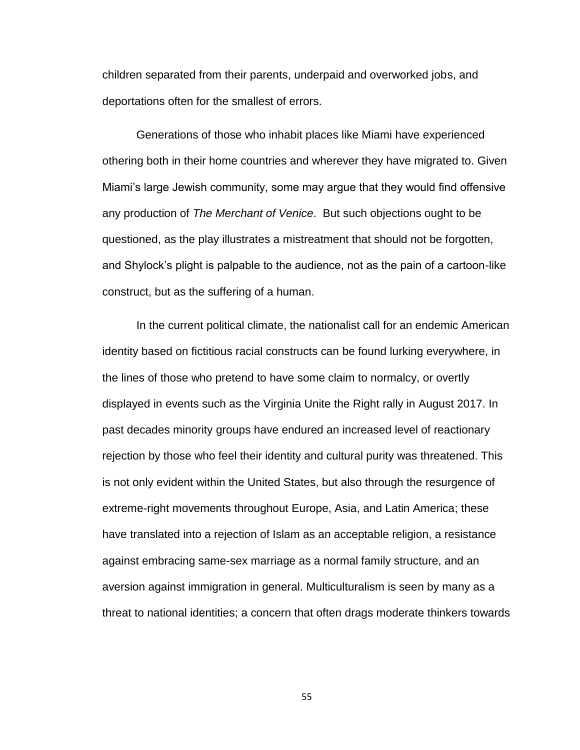children separated from their parents, underpaid and overworked jobs, and deportations often for the smallest of errors.

Generations of those who inhabit places like Miami have experienced othering both in their home countries and wherever they have migrated to. Given Miami's large Jewish community, some may argue that they would find offensive any production of *The Merchant of Venice*. But such objections ought to be questioned, as the play illustrates a mistreatment that should not be forgotten, and Shylock's plight is palpable to the audience, not as the pain of a cartoon-like construct, but as the suffering of a human.

In the current political climate, the nationalist call for an endemic American identity based on fictitious racial constructs can be found lurking everywhere, in the lines of those who pretend to have some claim to normalcy, or overtly displayed in events such as the Virginia Unite the Right rally in August 2017. In past decades minority groups have endured an increased level of reactionary rejection by those who feel their identity and cultural purity was threatened. This is not only evident within the United States, but also through the resurgence of extreme-right movements throughout Europe, Asia, and Latin America; these have translated into a rejection of Islam as an acceptable religion, a resistance against embracing same-sex marriage as a normal family structure, and an aversion against immigration in general. Multiculturalism is seen by many as a threat to national identities; a concern that often drags moderate thinkers towards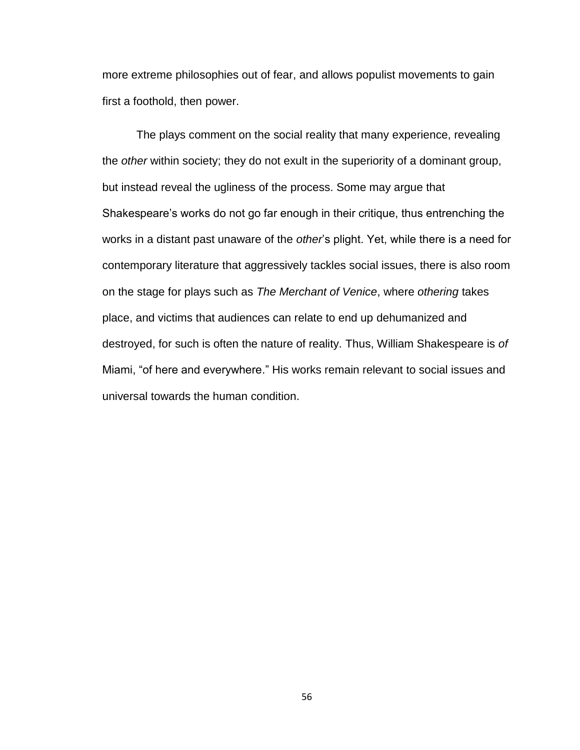more extreme philosophies out of fear, and allows populist movements to gain first a foothold, then power.

The plays comment on the social reality that many experience, revealing the *other* within society; they do not exult in the superiority of a dominant group, but instead reveal the ugliness of the process. Some may argue that Shakespeare's works do not go far enough in their critique, thus entrenching the works in a distant past unaware of the *other*'s plight. Yet, while there is a need for contemporary literature that aggressively tackles social issues, there is also room on the stage for plays such as *The Merchant of Venice*, where *othering* takes place, and victims that audiences can relate to end up dehumanized and destroyed, for such is often the nature of reality. Thus, William Shakespeare is *of* Miami, "of here and everywhere." His works remain relevant to social issues and universal towards the human condition.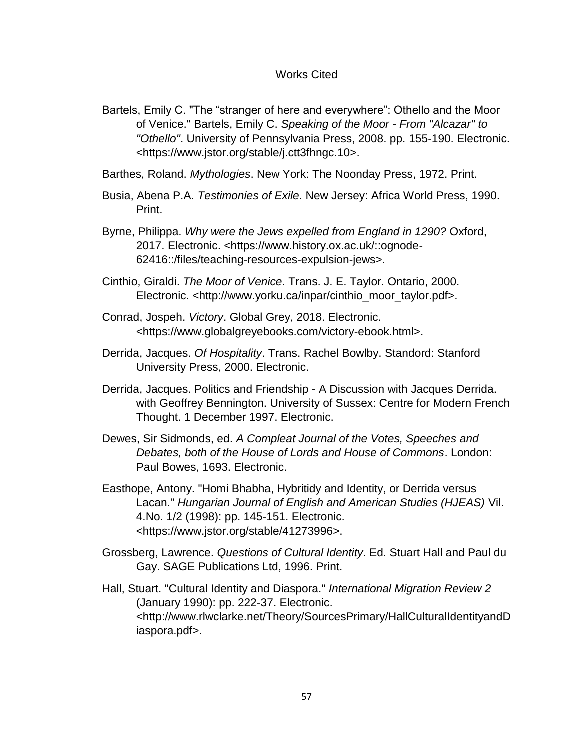### Works Cited

- Bartels, Emily C. "The "stranger of here and everywhere": Othello and the Moor of Venice." Bartels, Emily C. *Speaking of the Moor - From "Alcazar" to "Othello"*. University of Pennsylvania Press, 2008. pp. 155-190. Electronic. <https://www.jstor.org/stable/j.ctt3fhngc.10>.
- Barthes, Roland. *Mythologies*. New York: The Noonday Press, 1972. Print.
- Busia, Abena P.A. *Testimonies of Exile*. New Jersey: Africa World Press, 1990. Print.
- Byrne, Philippa. *Why were the Jews expelled from England in 1290?* Oxford, 2017. Electronic. <https://www.history.ox.ac.uk/::ognode-62416::/files/teaching-resources-expulsion-jews>.
- Cinthio, Giraldi. *The Moor of Venice*. Trans. J. E. Taylor. Ontario, 2000. Electronic. <http://www.yorku.ca/inpar/cinthio\_moor\_taylor.pdf>.
- Conrad, Jospeh. *Victory*. Global Grey, 2018. Electronic. <https://www.globalgreyebooks.com/victory-ebook.html>.
- Derrida, Jacques. *Of Hospitality*. Trans. Rachel Bowlby. Standord: Stanford University Press, 2000. Electronic.
- Derrida, Jacques. Politics and Friendship A Discussion with Jacques Derrida. with Geoffrey Bennington. University of Sussex: Centre for Modern French Thought. 1 December 1997. Electronic.
- Dewes, Sir Sidmonds, ed. *A Compleat Journal of the Votes, Speeches and Debates, both of the House of Lords and House of Commons*. London: Paul Bowes, 1693. Electronic.
- Easthope, Antony. "Homi Bhabha, Hybritidy and Identity, or Derrida versus Lacan." *Hungarian Journal of English and American Studies (HJEAS)* Vil. 4.No. 1/2 (1998): pp. 145-151. Electronic. <https://www.jstor.org/stable/41273996>.
- Grossberg, Lawrence. *Questions of Cultural Identity*. Ed. Stuart Hall and Paul du Gay. SAGE Publications Ltd, 1996. Print.
- Hall, Stuart. "Cultural Identity and Diaspora." *International Migration Review 2* (January 1990): pp. 222-37. Electronic. <http://www.rlwclarke.net/Theory/SourcesPrimary/HallCulturalIdentityandD iaspora.pdf>.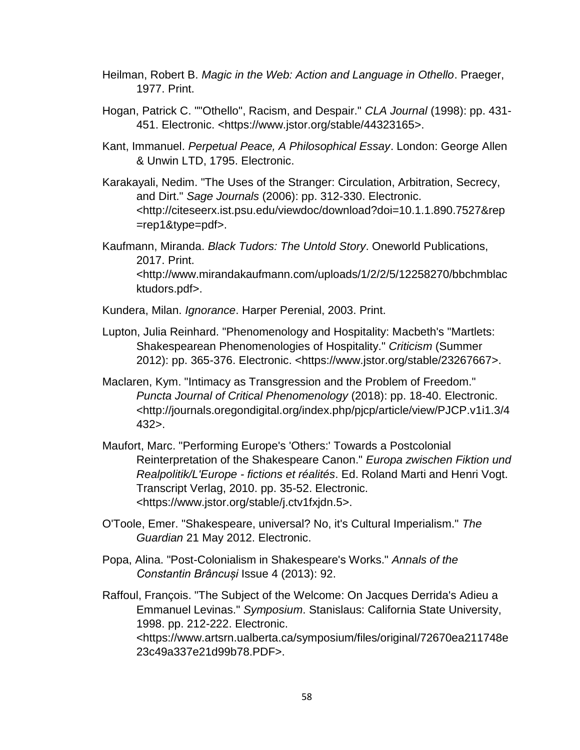- Heilman, Robert B. *Magic in the Web: Action and Language in Othello*. Praeger, 1977. Print.
- Hogan, Patrick C. ""Othello", Racism, and Despair." *CLA Journal* (1998): pp. 431- 451. Electronic. <https://www.jstor.org/stable/44323165>.
- Kant, Immanuel. *Perpetual Peace, A Philosophical Essay*. London: George Allen & Unwin LTD, 1795. Electronic.
- Karakayali, Nedim. "The Uses of the Stranger: Circulation, Arbitration, Secrecy, and Dirt." *Sage Journals* (2006): pp. 312-330. Electronic. <http://citeseerx.ist.psu.edu/viewdoc/download?doi=10.1.1.890.7527&rep =rep1&type=pdf>.
- Kaufmann, Miranda. *Black Tudors: The Untold Story*. Oneworld Publications, 2017. Print. <http://www.mirandakaufmann.com/uploads/1/2/2/5/12258270/bbchmblac ktudors.pdf>.
- Kundera, Milan. *Ignorance*. Harper Perenial, 2003. Print.
- Lupton, Julia Reinhard. "Phenomenology and Hospitality: Macbeth's "Martlets: Shakespearean Phenomenologies of Hospitality." *Criticism* (Summer 2012): pp. 365-376. Electronic. <https://www.jstor.org/stable/23267667>.
- Maclaren, Kym. "Intimacy as Transgression and the Problem of Freedom." *Puncta Journal of Critical Phenomenology* (2018): pp. 18-40. Electronic. <http://journals.oregondigital.org/index.php/pjcp/article/view/PJCP.v1i1.3/4 432>.
- Maufort, Marc. "Performing Europe's 'Others:' Towards a Postcolonial Reinterpretation of the Shakespeare Canon." *Europa zwischen Fiktion und Realpolitik/L'Europe - fictions et réalités*. Ed. Roland Marti and Henri Vogt. Transcript Verlag, 2010. pp. 35-52. Electronic. <https://www.jstor.org/stable/j.ctv1fxjdn.5>.
- O'Toole, Emer. "Shakespeare, universal? No, it's Cultural Imperialism." *The Guardian* 21 May 2012. Electronic.
- Popa, Alina. "Post-Colonialism in Shakespeare's Works." *Annals of the Constantin Brâncuși* Issue 4 (2013): 92.
- Raffoul, François. "The Subject of the Welcome: On Jacques Derrida's Adieu a Emmanuel Levinas." *Symposium*. Stanislaus: California State University, 1998. pp. 212-222. Electronic. <https://www.artsrn.ualberta.ca/symposium/files/original/72670ea211748e 23c49a337e21d99b78.PDF>.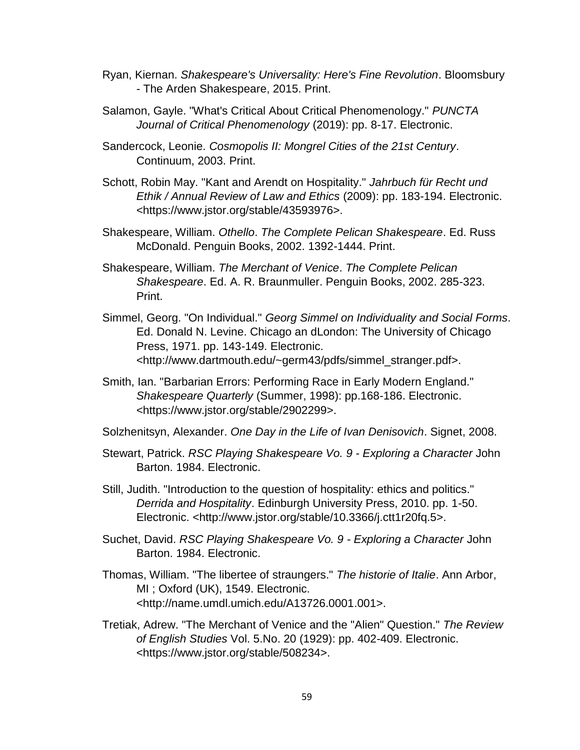- Ryan, Kiernan. *Shakespeare's Universality: Here's Fine Revolution*. Bloomsbury - The Arden Shakespeare, 2015. Print.
- Salamon, Gayle. "What's Critical About Critical Phenomenology." *PUNCTA Journal of Critical Phenomenology* (2019): pp. 8-17. Electronic.
- Sandercock, Leonie. *Cosmopolis II: Mongrel Cities of the 21st Century*. Continuum, 2003. Print.
- Schott, Robin May. "Kant and Arendt on Hospitality." *Jahrbuch für Recht und Ethik / Annual Review of Law and Ethics* (2009): pp. 183-194. Electronic. <https://www.jstor.org/stable/43593976>.
- Shakespeare, William. *Othello*. *The Complete Pelican Shakespeare*. Ed. Russ McDonald. Penguin Books, 2002. 1392-1444. Print.
- Shakespeare, William. *The Merchant of Venice*. *The Complete Pelican Shakespeare*. Ed. A. R. Braunmuller. Penguin Books, 2002. 285-323. Print.
- Simmel, Georg. "On Individual." *Georg Simmel on Individuality and Social Forms*. Ed. Donald N. Levine. Chicago an dLondon: The University of Chicago Press, 1971. pp. 143-149. Electronic. <http://www.dartmouth.edu/~germ43/pdfs/simmel\_stranger.pdf>.
- Smith, Ian. "Barbarian Errors: Performing Race in Early Modern England." *Shakespeare Quarterly* (Summer, 1998): pp.168-186. Electronic. <https://www.jstor.org/stable/2902299>.
- Solzhenitsyn, Alexander. *One Day in the Life of Ivan Denisovich*. Signet, 2008.
- Stewart, Patrick. *RSC Playing Shakespeare Vo. 9 - Exploring a Character* John Barton. 1984. Electronic.
- Still, Judith. "Introduction to the question of hospitality: ethics and politics." *Derrida and Hospitality*. Edinburgh University Press, 2010. pp. 1-50. Electronic. <http://www.jstor.org/stable/10.3366/j.ctt1r20fq.5>.
- Suchet, David. *RSC Playing Shakespeare Vo. 9 - Exploring a Character* John Barton. 1984. Electronic.
- Thomas, William. "The libertee of straungers." *The historie of Italie*. Ann Arbor, MI ; Oxford (UK), 1549. Electronic. <http://name.umdl.umich.edu/A13726.0001.001>.
- Tretiak, Adrew. "The Merchant of Venice and the "Alien" Question." *The Review of English Studies* Vol. 5.No. 20 (1929): pp. 402-409. Electronic. <https://www.jstor.org/stable/508234>.